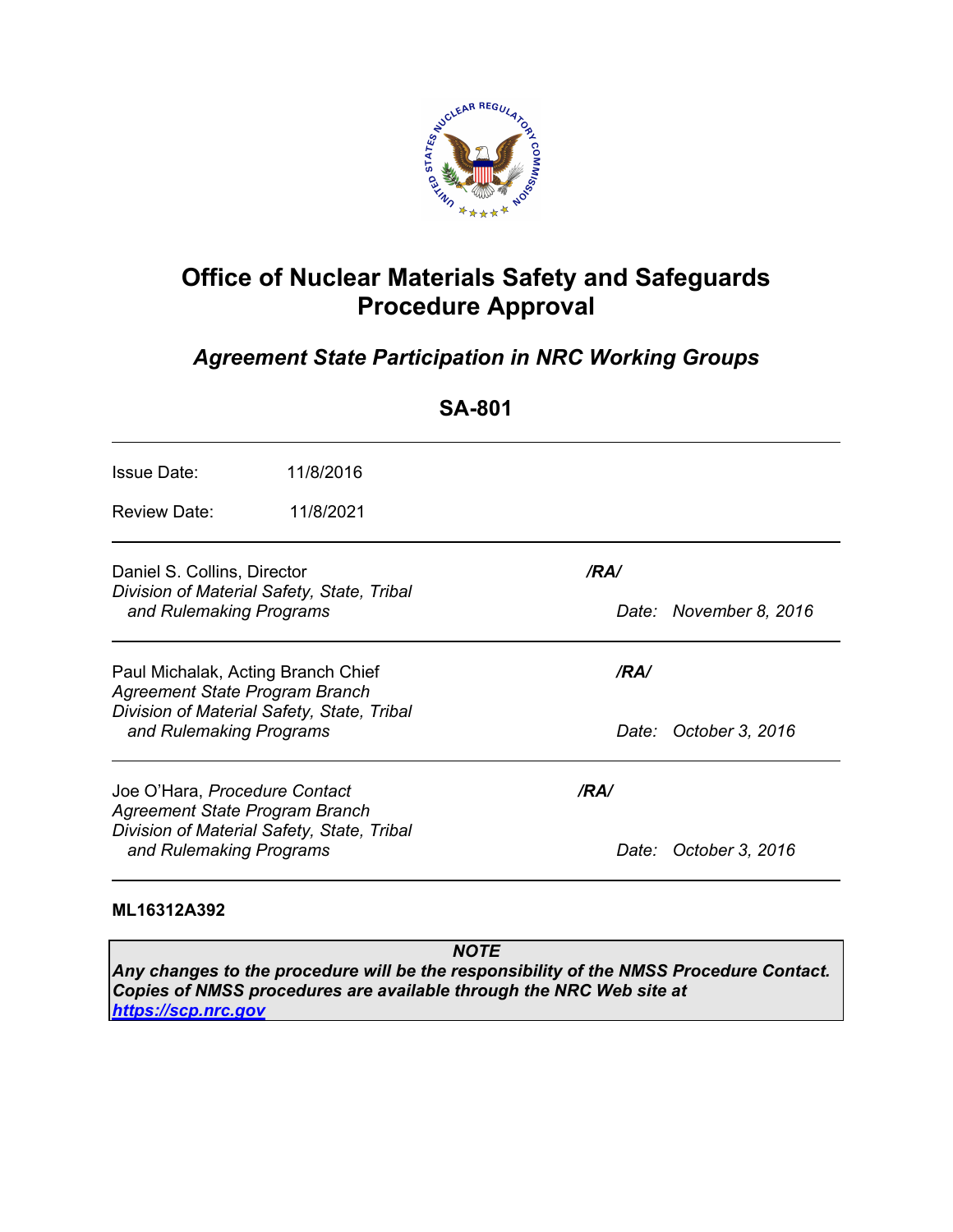

# **Office of Nuclear Materials Safety and Safeguards Procedure Approval**

# *Agreement State Participation in NRC Working Groups*

**SA-801** 

| <b>Issue Date:</b>                                                                                                                            | 11/8/2016 |       |                        |
|-----------------------------------------------------------------------------------------------------------------------------------------------|-----------|-------|------------------------|
| <b>Review Date:</b>                                                                                                                           | 11/8/2021 |       |                        |
| Daniel S. Collins, Director<br>Division of Material Safety, State, Tribal<br>and Rulemaking Programs                                          |           | /RA/  |                        |
|                                                                                                                                               |           |       | Date: November 8, 2016 |
| Paul Michalak, Acting Branch Chief<br>Agreement State Program Branch<br>Division of Material Safety, State, Tribal<br>and Rulemaking Programs |           | /RA/  |                        |
|                                                                                                                                               |           | Date: | October 3, 2016        |
| Joe O'Hara, Procedure Contact<br>Agreement State Program Branch                                                                               |           | /RA/  |                        |
| Division of Material Safety, State, Tribal<br>and Rulemaking Programs                                                                         |           |       | Date: October 3, 2016  |

#### **ML16312A392**

*NOTE Any changes to the procedure will be the responsibility of the NMSS Procedure Contact. Copies of NMSS procedures are available through the NRC Web site at https://scp.nrc.gov*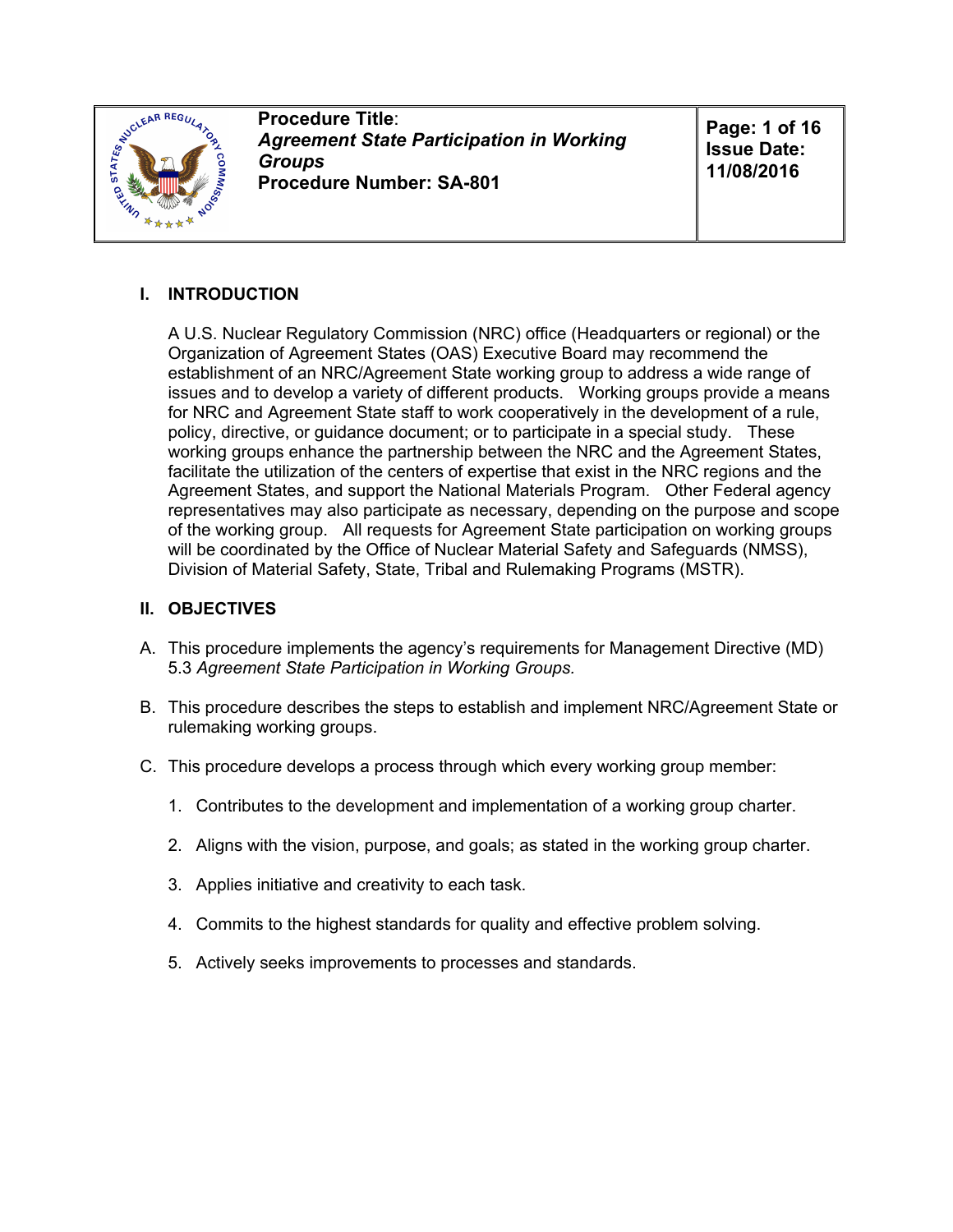

**Procedure Title**: *Agreement State Participation in Working Groups* **Procedure Number: SA-801**

**Page: 1 of 16 Issue Date: 11/08/2016**

# **I. INTRODUCTION**

A U.S. Nuclear Regulatory Commission (NRC) office (Headquarters or regional) or the Organization of Agreement States (OAS) Executive Board may recommend the establishment of an NRC/Agreement State working group to address a wide range of issues and to develop a variety of different products. Working groups provide a means for NRC and Agreement State staff to work cooperatively in the development of a rule, policy, directive, or guidance document; or to participate in a special study. These working groups enhance the partnership between the NRC and the Agreement States, facilitate the utilization of the centers of expertise that exist in the NRC regions and the Agreement States, and support the National Materials Program. Other Federal agency representatives may also participate as necessary, depending on the purpose and scope of the working group. All requests for Agreement State participation on working groups will be coordinated by the Office of Nuclear Material Safety and Safeguards (NMSS), Division of Material Safety, State, Tribal and Rulemaking Programs (MSTR).

#### **II. OBJECTIVES**

- A. This procedure implements the agency's requirements for Management Directive (MD) 5.3 *Agreement State Participation in Working Groups.*
- B. This procedure describes the steps to establish and implement NRC/Agreement State or rulemaking working groups.
- C. This procedure develops a process through which every working group member:
	- 1. Contributes to the development and implementation of a working group charter.
	- 2. Aligns with the vision, purpose, and goals; as stated in the working group charter.
	- 3. Applies initiative and creativity to each task.
	- 4. Commits to the highest standards for quality and effective problem solving.
	- 5. Actively seeks improvements to processes and standards.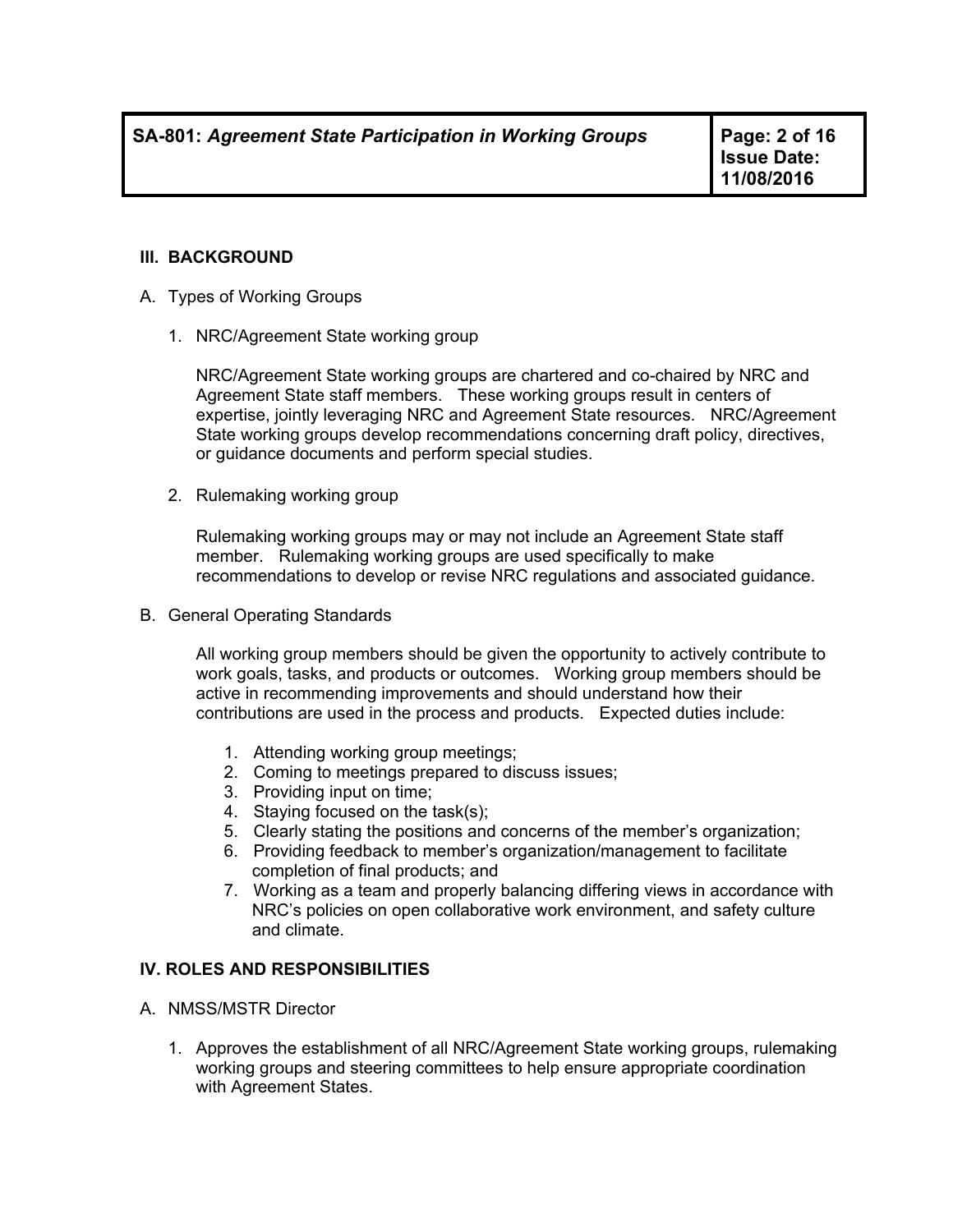**Issue Date: 11/08/2016**

#### **III. BACKGROUND**

- A. Types of Working Groups
	- 1. NRC/Agreement State working group

NRC/Agreement State working groups are chartered and co-chaired by NRC and Agreement State staff members. These working groups result in centers of expertise, jointly leveraging NRC and Agreement State resources. NRC/Agreement State working groups develop recommendations concerning draft policy, directives, or guidance documents and perform special studies.

2. Rulemaking working group

Rulemaking working groups may or may not include an Agreement State staff member. Rulemaking working groups are used specifically to make recommendations to develop or revise NRC regulations and associated guidance.

B. General Operating Standards

All working group members should be given the opportunity to actively contribute to work goals, tasks, and products or outcomes. Working group members should be active in recommending improvements and should understand how their contributions are used in the process and products. Expected duties include:

- 1. Attending working group meetings;
- 2. Coming to meetings prepared to discuss issues;
- 3. Providing input on time;
- 4. Staying focused on the task(s);
- 5. Clearly stating the positions and concerns of the member's organization;
- 6. Providing feedback to member's organization/management to facilitate completion of final products; and
- 7. Working as a team and properly balancing differing views in accordance with NRC's policies on open collaborative work environment, and safety culture and climate.

#### **IV. ROLES AND RESPONSIBILITIES**

- A. NMSS/MSTR Director
	- 1. Approves the establishment of all NRC/Agreement State working groups, rulemaking working groups and steering committees to help ensure appropriate coordination with Agreement States.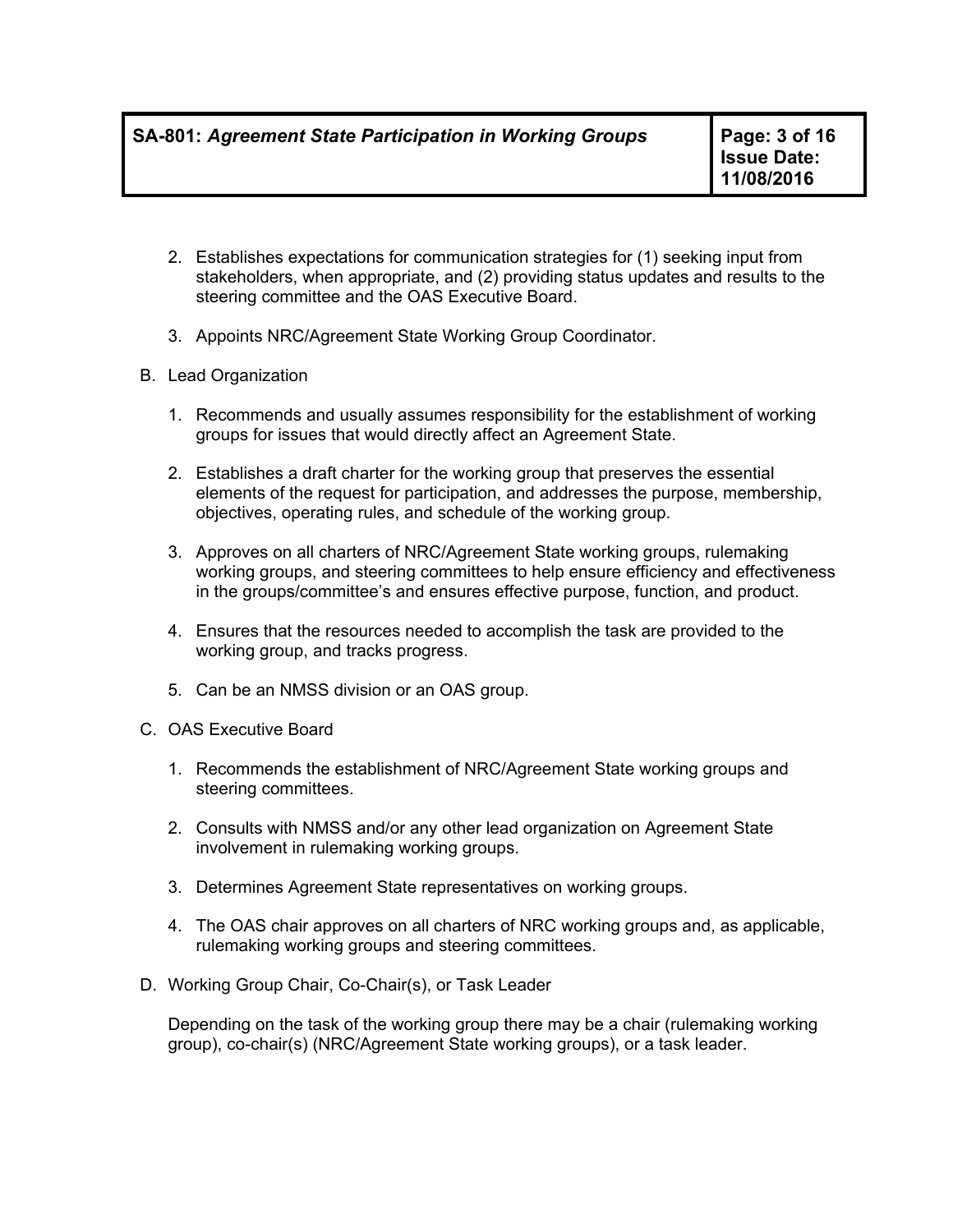- 2. Establishes expectations for communication strategies for (1) seeking input from stakeholders, when appropriate, and (2) providing status updates and results to the steering committee and the OAS Executive Board.
- 3. Appoints NRC/Agreement State Working Group Coordinator.
- B. Lead Organization
	- 1. Recommends and usually assumes responsibility for the establishment of working groups for issues that would directly affect an Agreement State.
	- 2. Establishes a draft charter for the working group that preserves the essential elements of the request for participation, and addresses the purpose, membership, objectives, operating rules, and schedule of the working group.
	- 3. Approves on all charters of NRC/Agreement State working groups, rulemaking working groups, and steering committees to help ensure efficiency and effectiveness in the groups/committee's and ensures effective purpose, function, and product.
	- 4. Ensures that the resources needed to accomplish the task are provided to the working group, and tracks progress.
	- 5. Can be an NMSS division or an OAS group.
- C. OAS Executive Board
	- 1. Recommends the establishment of NRC/Agreement State working groups and steering committees.
	- 2. Consults with NMSS and/or any other lead organization on Agreement State involvement in rulemaking working groups.
	- 3. Determines Agreement State representatives on working groups.
	- 4. The OAS chair approves on all charters of NRC working groups and, as applicable, rulemaking working groups and steering committees.
- D. Working Group Chair, Co-Chair(s), or Task Leader

Depending on the task of the working group there may be a chair (rulemaking working group), co-chair(s) (NRC/Agreement State working groups), or a task leader.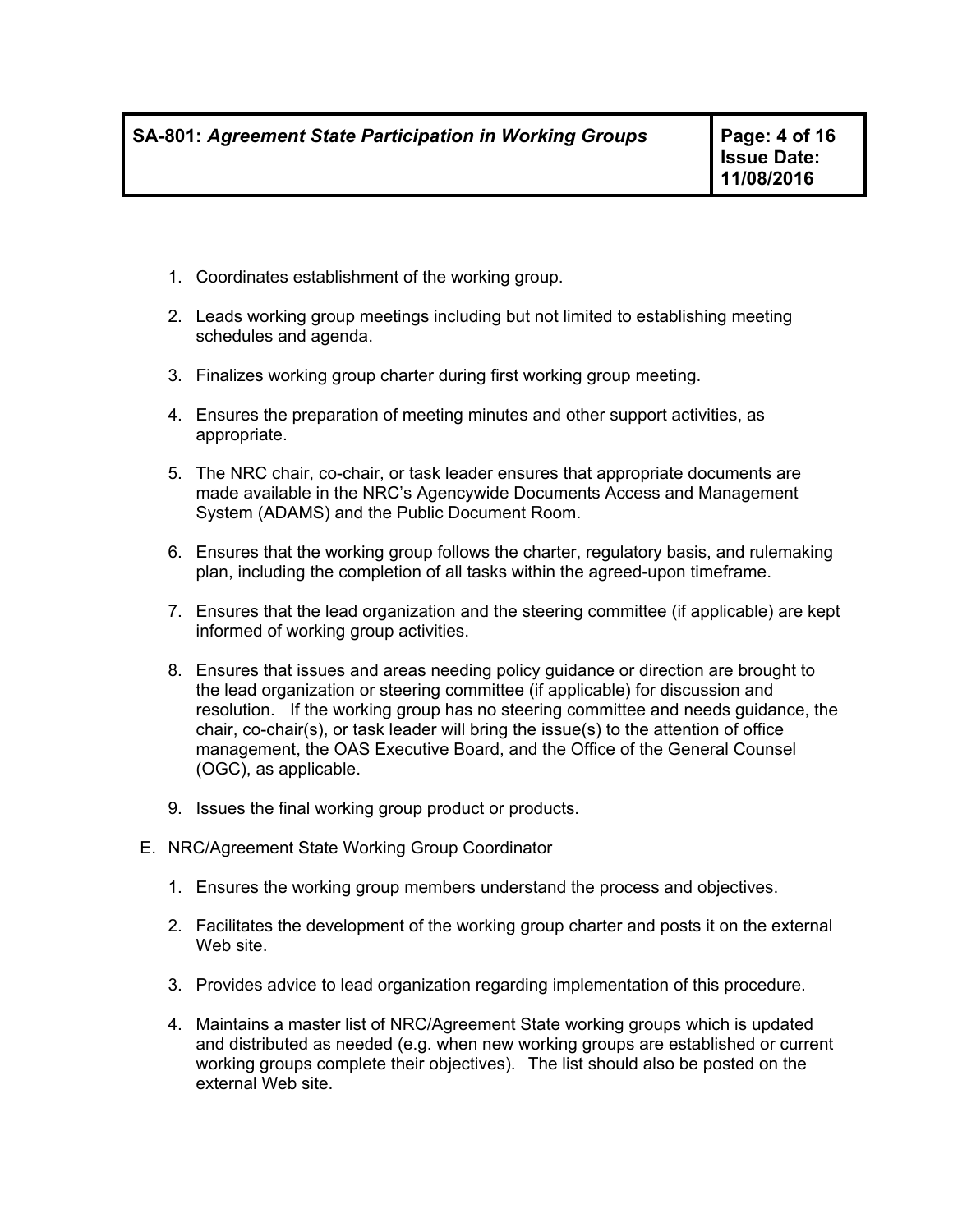- 1. Coordinates establishment of the working group.
- 2. Leads working group meetings including but not limited to establishing meeting schedules and agenda.
- 3. Finalizes working group charter during first working group meeting.
- 4. Ensures the preparation of meeting minutes and other support activities, as appropriate.
- 5. The NRC chair, co-chair, or task leader ensures that appropriate documents are made available in the NRC's Agencywide Documents Access and Management System (ADAMS) and the Public Document Room.
- 6. Ensures that the working group follows the charter, regulatory basis, and rulemaking plan, including the completion of all tasks within the agreed-upon timeframe.
- 7. Ensures that the lead organization and the steering committee (if applicable) are kept informed of working group activities.
- 8. Ensures that issues and areas needing policy guidance or direction are brought to the lead organization or steering committee (if applicable) for discussion and resolution. If the working group has no steering committee and needs guidance, the chair, co-chair(s), or task leader will bring the issue(s) to the attention of office management, the OAS Executive Board, and the Office of the General Counsel (OGC), as applicable.
- 9. Issues the final working group product or products.
- E. NRC/Agreement State Working Group Coordinator
	- 1. Ensures the working group members understand the process and objectives.
	- 2. Facilitates the development of the working group charter and posts it on the external Web site.
	- 3. Provides advice to lead organization regarding implementation of this procedure.
	- 4. Maintains a master list of NRC/Agreement State working groups which is updated and distributed as needed (e.g. when new working groups are established or current working groups complete their objectives). The list should also be posted on the external Web site.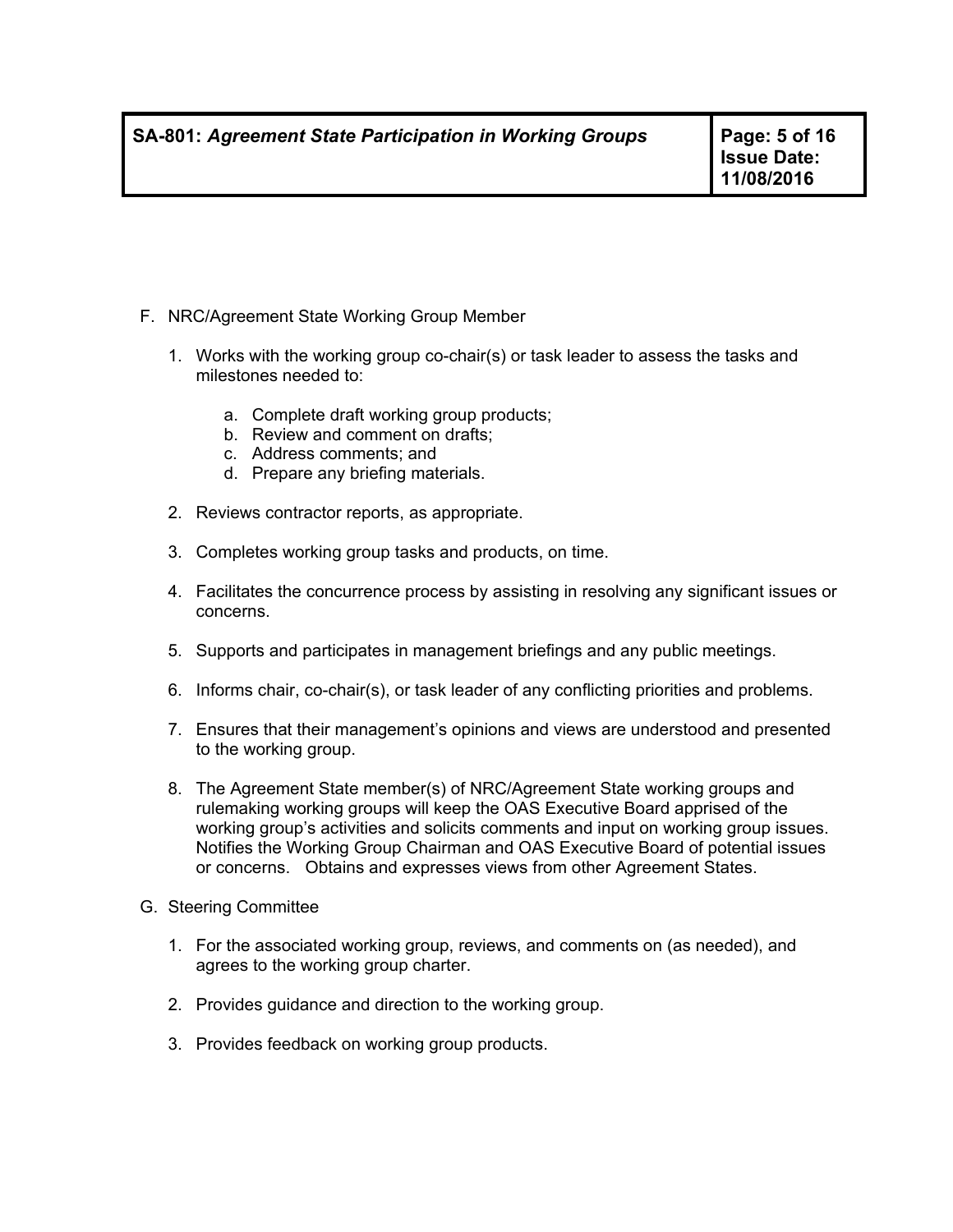- F. NRC/Agreement State Working Group Member
	- 1. Works with the working group co-chair(s) or task leader to assess the tasks and milestones needed to:
		- a. Complete draft working group products;
		- b. Review and comment on drafts;
		- c. Address comments; and
		- d. Prepare any briefing materials.
	- 2. Reviews contractor reports, as appropriate.
	- 3. Completes working group tasks and products, on time.
	- 4. Facilitates the concurrence process by assisting in resolving any significant issues or concerns.
	- 5. Supports and participates in management briefings and any public meetings.
	- 6. Informs chair, co-chair(s), or task leader of any conflicting priorities and problems.
	- 7. Ensures that their management's opinions and views are understood and presented to the working group.
	- 8. The Agreement State member(s) of NRC/Agreement State working groups and rulemaking working groups will keep the OAS Executive Board apprised of the working group's activities and solicits comments and input on working group issues. Notifies the Working Group Chairman and OAS Executive Board of potential issues or concerns. Obtains and expresses views from other Agreement States.
- G. Steering Committee
	- 1. For the associated working group, reviews, and comments on (as needed), and agrees to the working group charter.
	- 2. Provides guidance and direction to the working group.
	- 3. Provides feedback on working group products.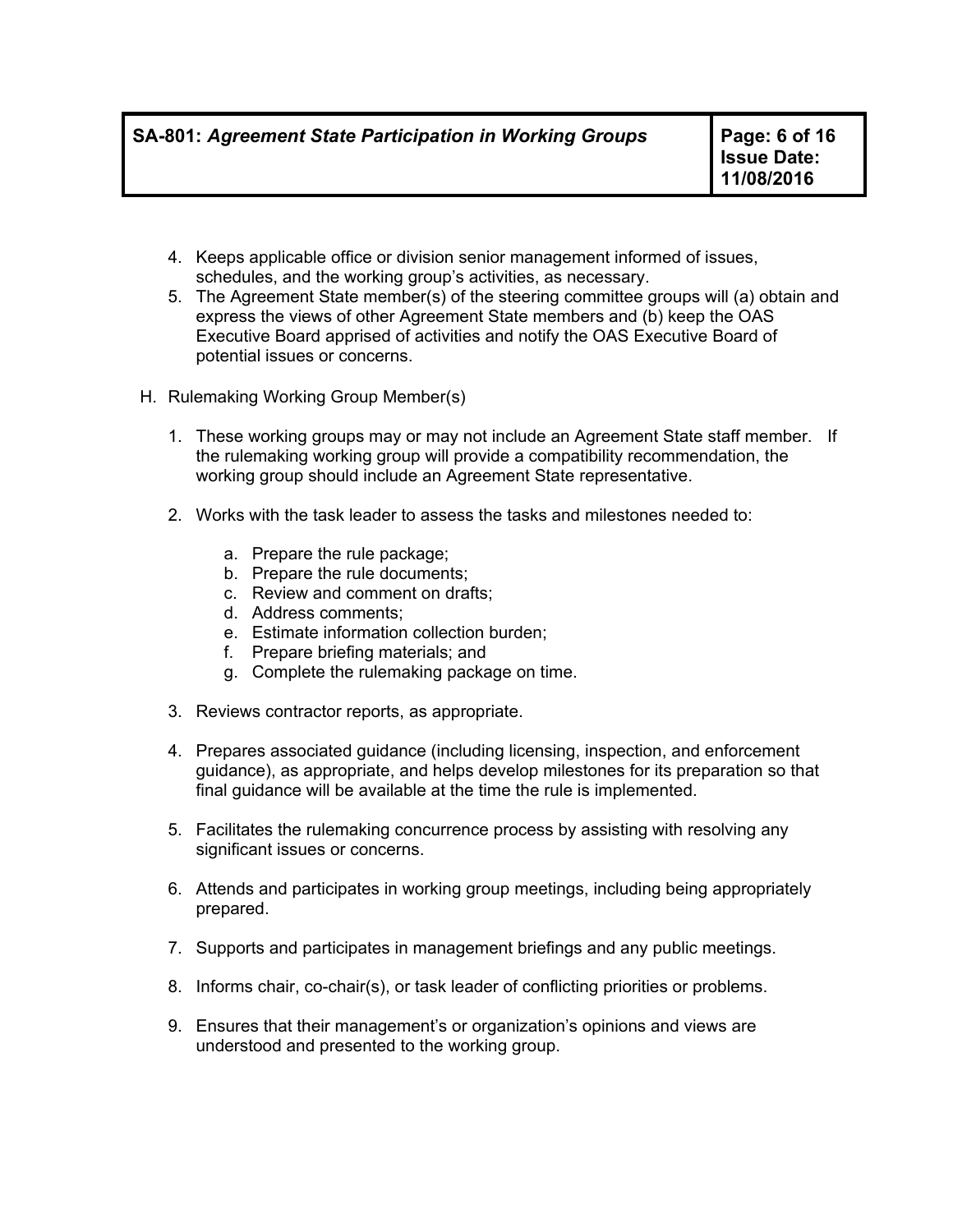- 4. Keeps applicable office or division senior management informed of issues, schedules, and the working group's activities, as necessary.
- 5. The Agreement State member(s) of the steering committee groups will (a) obtain and express the views of other Agreement State members and (b) keep the OAS Executive Board apprised of activities and notify the OAS Executive Board of potential issues or concerns.
- H. Rulemaking Working Group Member(s)
	- 1. These working groups may or may not include an Agreement State staff member. If the rulemaking working group will provide a compatibility recommendation, the working group should include an Agreement State representative.
	- 2. Works with the task leader to assess the tasks and milestones needed to:
		- a. Prepare the rule package;
		- b. Prepare the rule documents;
		- c. Review and comment on drafts;
		- d. Address comments;
		- e. Estimate information collection burden;
		- f. Prepare briefing materials; and
		- g. Complete the rulemaking package on time.
	- 3. Reviews contractor reports, as appropriate.
	- 4. Prepares associated guidance (including licensing, inspection, and enforcement guidance), as appropriate, and helps develop milestones for its preparation so that final guidance will be available at the time the rule is implemented.
	- 5. Facilitates the rulemaking concurrence process by assisting with resolving any significant issues or concerns.
	- 6. Attends and participates in working group meetings, including being appropriately prepared.
	- 7. Supports and participates in management briefings and any public meetings.
	- 8. Informs chair, co-chair(s), or task leader of conflicting priorities or problems.
	- 9. Ensures that their management's or organization's opinions and views are understood and presented to the working group.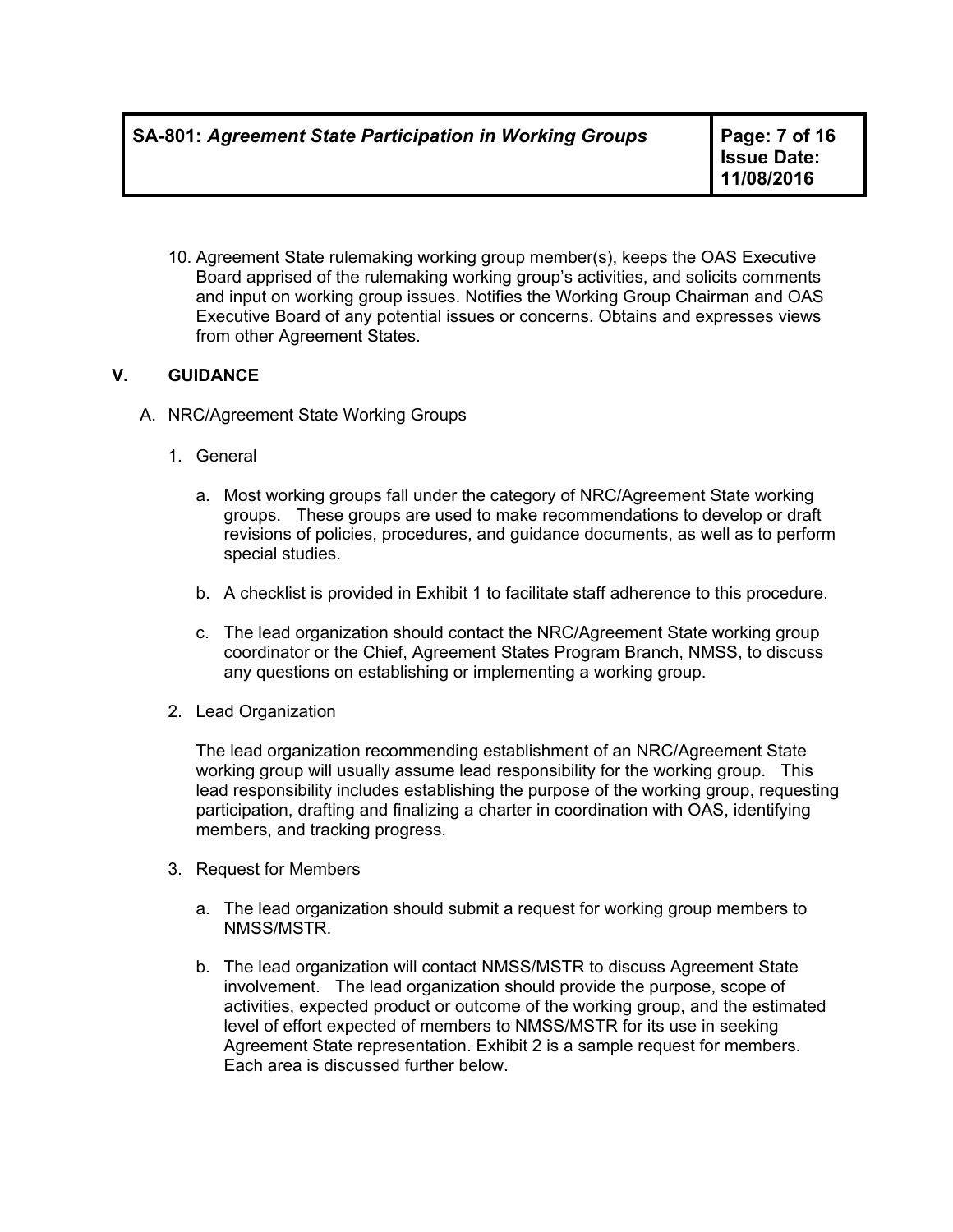**Issue Date: 11/08/2016**

10. Agreement State rulemaking working group member(s), keeps the OAS Executive Board apprised of the rulemaking working group's activities, and solicits comments and input on working group issues. Notifies the Working Group Chairman and OAS Executive Board of any potential issues or concerns. Obtains and expresses views from other Agreement States.

# **V. GUIDANCE**

- A. NRC/Agreement State Working Groups
	- 1. General
		- a. Most working groups fall under the category of NRC/Agreement State working groups. These groups are used to make recommendations to develop or draft revisions of policies, procedures, and guidance documents, as well as to perform special studies.
		- b. A checklist is provided in Exhibit 1 to facilitate staff adherence to this procedure.
		- c. The lead organization should contact the NRC/Agreement State working group coordinator or the Chief, Agreement States Program Branch, NMSS, to discuss any questions on establishing or implementing a working group.
	- 2. Lead Organization

The lead organization recommending establishment of an NRC/Agreement State working group will usually assume lead responsibility for the working group. This lead responsibility includes establishing the purpose of the working group, requesting participation, drafting and finalizing a charter in coordination with OAS, identifying members, and tracking progress.

- 3. Request for Members
	- a. The lead organization should submit a request for working group members to NMSS/MSTR.
	- b. The lead organization will contact NMSS/MSTR to discuss Agreement State involvement. The lead organization should provide the purpose, scope of activities, expected product or outcome of the working group, and the estimated level of effort expected of members to NMSS/MSTR for its use in seeking Agreement State representation. Exhibit 2 is a sample request for members. Each area is discussed further below.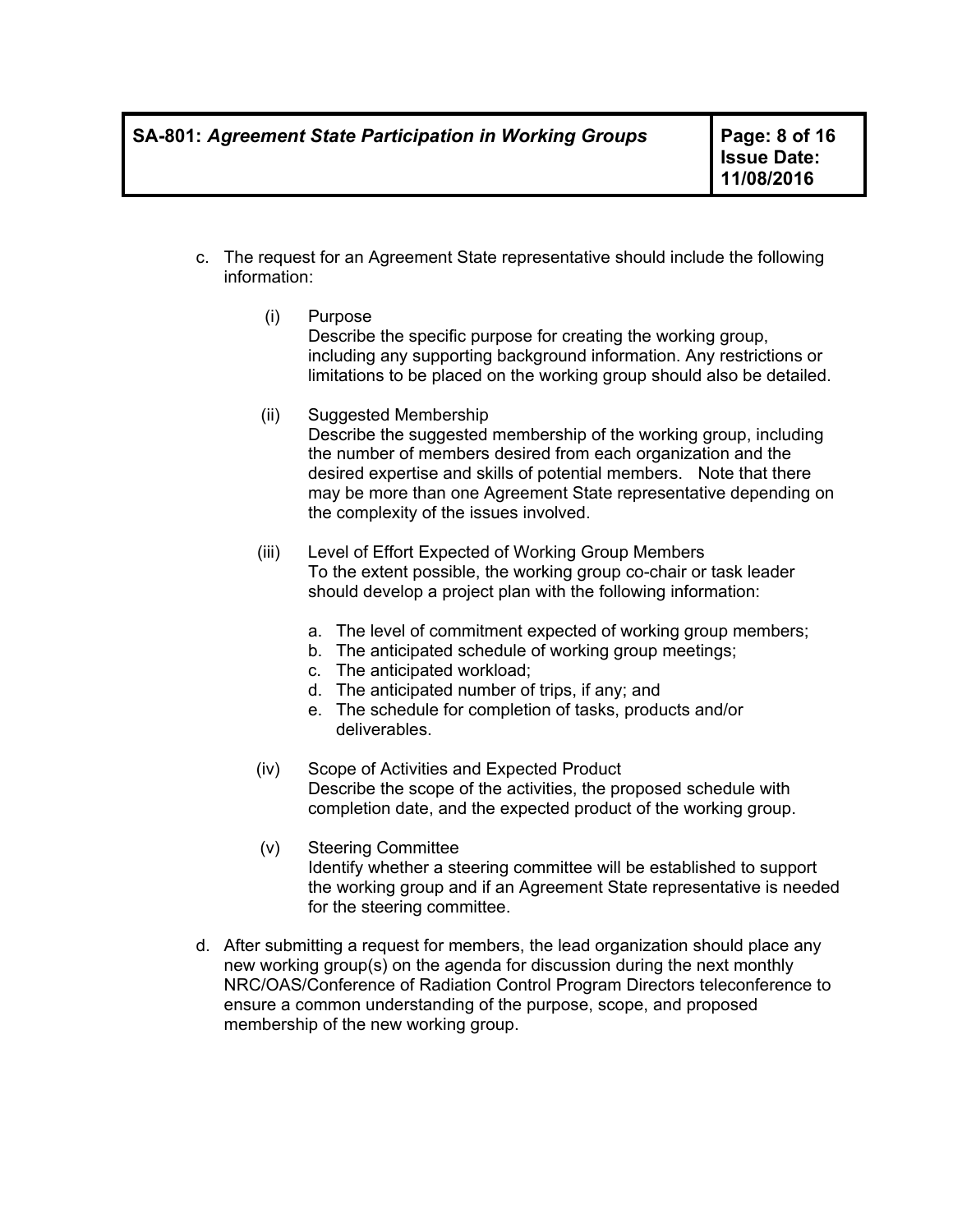- c. The request for an Agreement State representative should include the following information:
	- (i) Purpose Describe the specific purpose for creating the working group, including any supporting background information. Any restrictions or limitations to be placed on the working group should also be detailed.
	- (ii) Suggested Membership Describe the suggested membership of the working group, including the number of members desired from each organization and the desired expertise and skills of potential members. Note that there may be more than one Agreement State representative depending on the complexity of the issues involved.
	- (iii) Level of Effort Expected of Working Group Members To the extent possible, the working group co-chair or task leader should develop a project plan with the following information:
		- a. The level of commitment expected of working group members;
		- b. The anticipated schedule of working group meetings;
		- c. The anticipated workload;
		- d. The anticipated number of trips, if any; and
		- e. The schedule for completion of tasks, products and/or deliverables.
	- (iv) Scope of Activities and Expected Product Describe the scope of the activities, the proposed schedule with completion date, and the expected product of the working group.
	- (v) Steering Committee Identify whether a steering committee will be established to support the working group and if an Agreement State representative is needed for the steering committee.
- d. After submitting a request for members, the lead organization should place any new working group(s) on the agenda for discussion during the next monthly NRC/OAS/Conference of Radiation Control Program Directors teleconference to ensure a common understanding of the purpose, scope, and proposed membership of the new working group.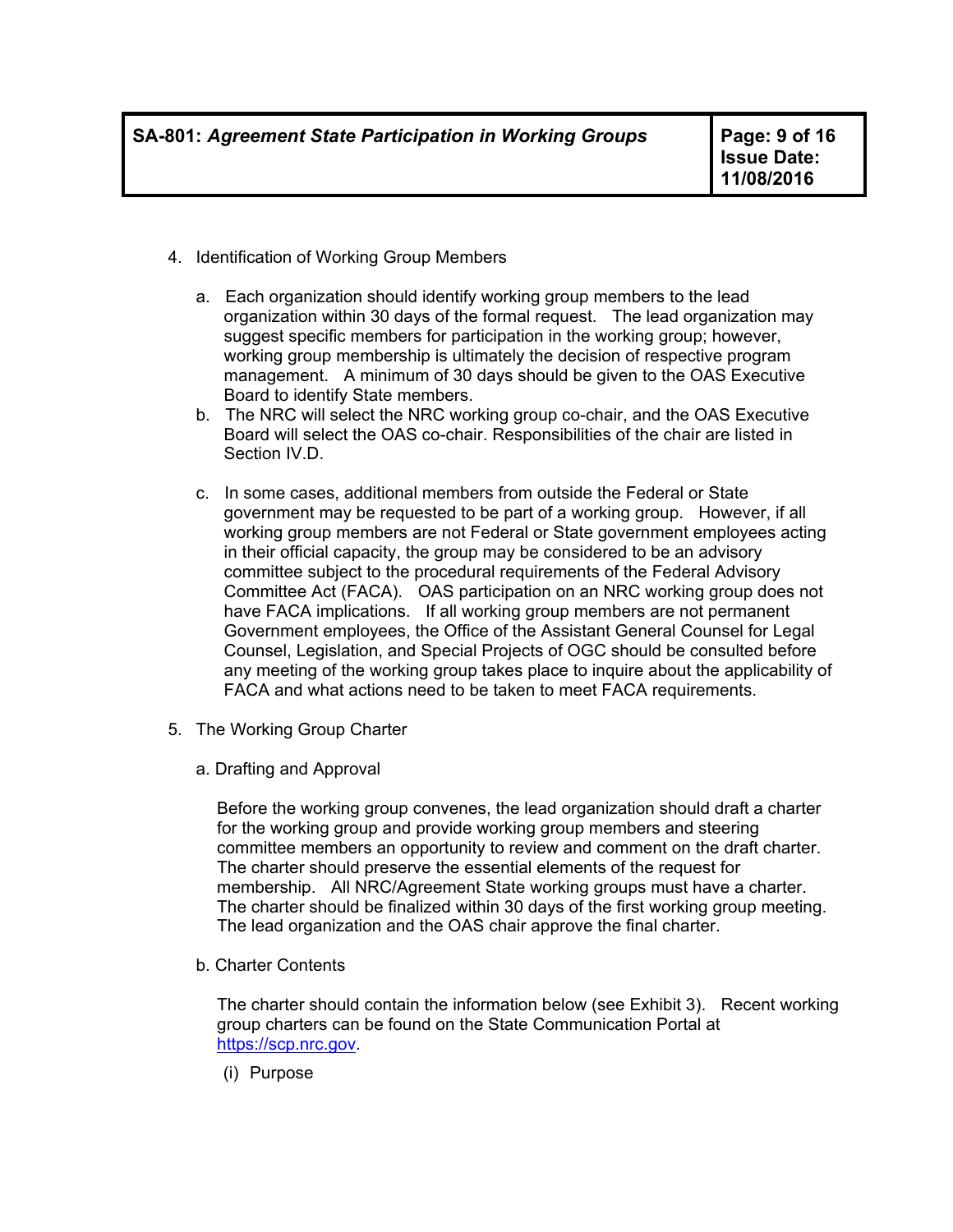- 4. Identification of Working Group Members
	- a. Each organization should identify working group members to the lead organization within 30 days of the formal request. The lead organization may suggest specific members for participation in the working group; however, working group membership is ultimately the decision of respective program management. A minimum of 30 days should be given to the OAS Executive Board to identify State members.
	- b. The NRC will select the NRC working group co-chair, and the OAS Executive Board will select the OAS co-chair. Responsibilities of the chair are listed in Section IV.D.
	- c. In some cases, additional members from outside the Federal or State government may be requested to be part of a working group. However, if all working group members are not Federal or State government employees acting in their official capacity, the group may be considered to be an advisory committee subject to the procedural requirements of the Federal Advisory Committee Act (FACA). OAS participation on an NRC working group does not have FACA implications. If all working group members are not permanent Government employees, the Office of the Assistant General Counsel for Legal Counsel, Legislation, and Special Projects of OGC should be consulted before any meeting of the working group takes place to inquire about the applicability of FACA and what actions need to be taken to meet FACA requirements.
- 5. The Working Group Charter
	- a. Drafting and Approval

Before the working group convenes, the lead organization should draft a charter for the working group and provide working group members and steering committee members an opportunity to review and comment on the draft charter. The charter should preserve the essential elements of the request for membership. All NRC/Agreement State working groups must have a charter. The charter should be finalized within 30 days of the first working group meeting. The lead organization and the OAS chair approve the final charter.

b. Charter Contents

The charter should contain the information below (see Exhibit 3). Recent working group charters can be found on the State Communication Portal at https://scp.nrc.gov.

(i) Purpose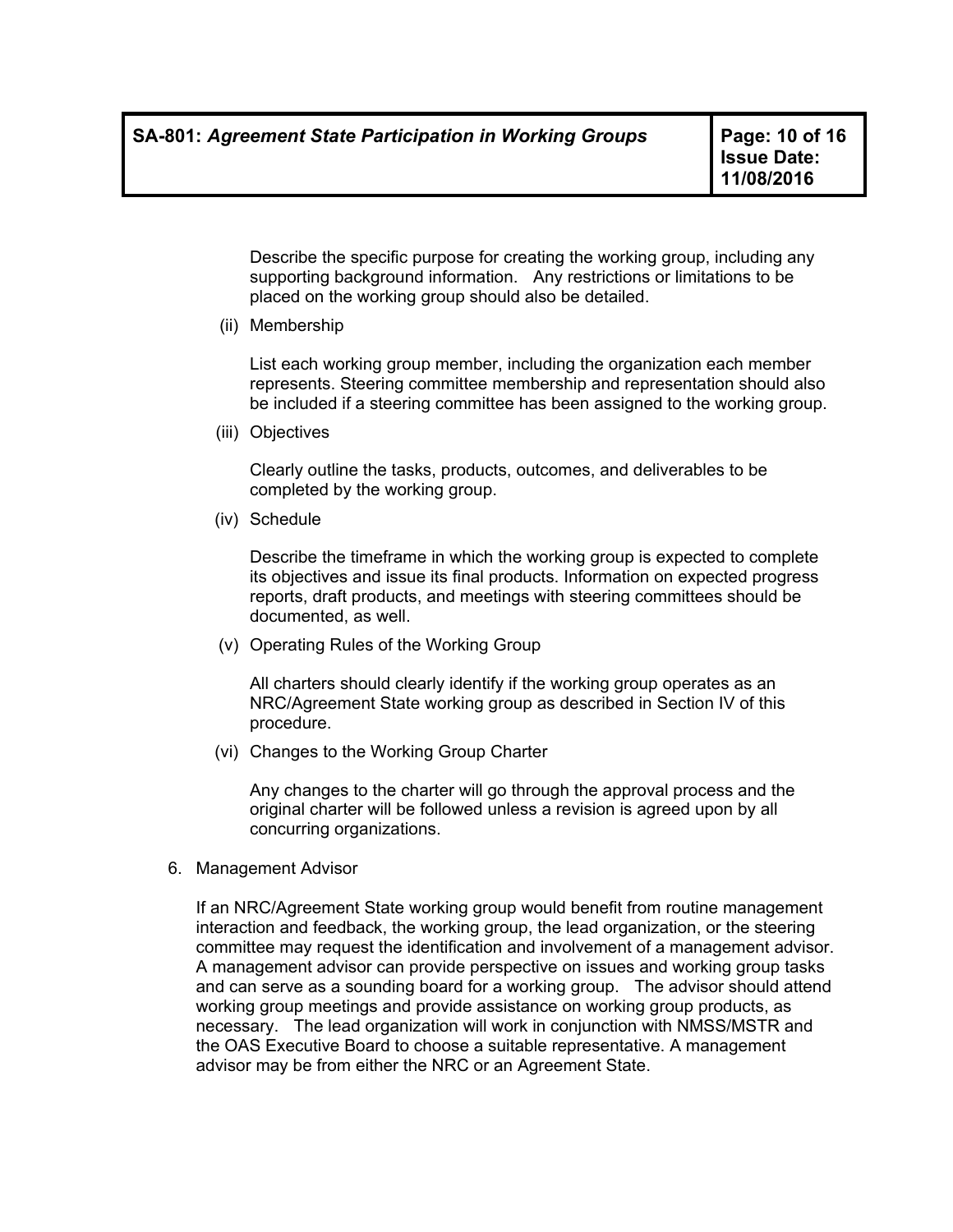Describe the specific purpose for creating the working group, including any supporting background information. Any restrictions or limitations to be placed on the working group should also be detailed.

(ii) Membership

List each working group member, including the organization each member represents. Steering committee membership and representation should also be included if a steering committee has been assigned to the working group.

(iii) Objectives

Clearly outline the tasks, products, outcomes, and deliverables to be completed by the working group.

(iv) Schedule

Describe the timeframe in which the working group is expected to complete its objectives and issue its final products. Information on expected progress reports, draft products, and meetings with steering committees should be documented, as well.

(v) Operating Rules of the Working Group

All charters should clearly identify if the working group operates as an NRC/Agreement State working group as described in Section IV of this procedure.

(vi) Changes to the Working Group Charter

Any changes to the charter will go through the approval process and the original charter will be followed unless a revision is agreed upon by all concurring organizations.

6. Management Advisor

If an NRC/Agreement State working group would benefit from routine management interaction and feedback, the working group, the lead organization, or the steering committee may request the identification and involvement of a management advisor. A management advisor can provide perspective on issues and working group tasks and can serve as a sounding board for a working group. The advisor should attend working group meetings and provide assistance on working group products, as necessary. The lead organization will work in conjunction with NMSS/MSTR and the OAS Executive Board to choose a suitable representative. A management advisor may be from either the NRC or an Agreement State.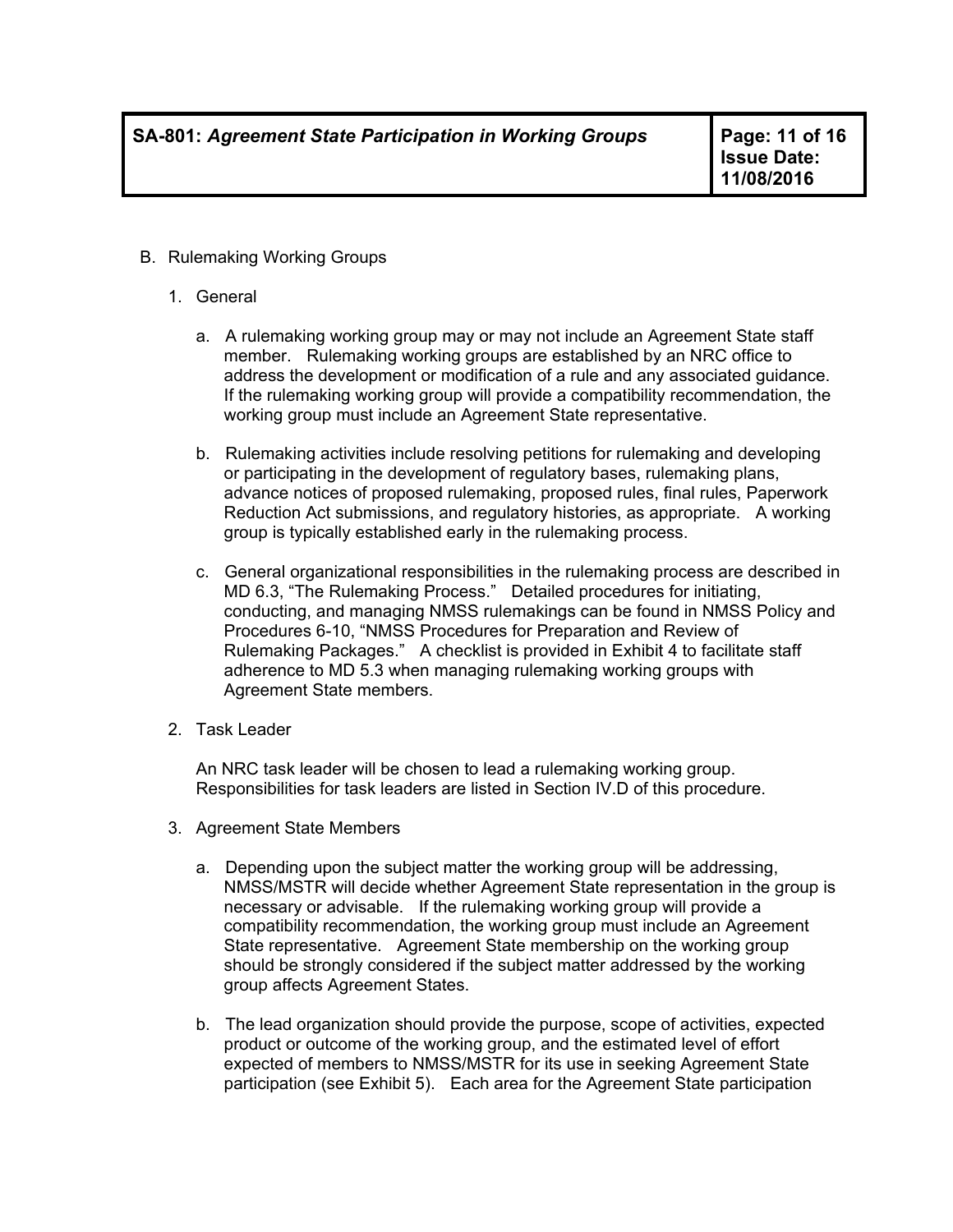- B. Rulemaking Working Groups
	- 1. General
		- a. A rulemaking working group may or may not include an Agreement State staff member. Rulemaking working groups are established by an NRC office to address the development or modification of a rule and any associated guidance. If the rulemaking working group will provide a compatibility recommendation, the working group must include an Agreement State representative.
		- b. Rulemaking activities include resolving petitions for rulemaking and developing or participating in the development of regulatory bases, rulemaking plans, advance notices of proposed rulemaking, proposed rules, final rules, Paperwork Reduction Act submissions, and regulatory histories, as appropriate. A working group is typically established early in the rulemaking process.
		- c. General organizational responsibilities in the rulemaking process are described in MD 6.3, "The Rulemaking Process." Detailed procedures for initiating, conducting, and managing NMSS rulemakings can be found in NMSS Policy and Procedures 6-10, "NMSS Procedures for Preparation and Review of Rulemaking Packages." A checklist is provided in Exhibit 4 to facilitate staff adherence to MD 5.3 when managing rulemaking working groups with Agreement State members.
	- 2. Task Leader

An NRC task leader will be chosen to lead a rulemaking working group. Responsibilities for task leaders are listed in Section IV.D of this procedure.

- 3. Agreement State Members
	- a. Depending upon the subject matter the working group will be addressing, NMSS/MSTR will decide whether Agreement State representation in the group is necessary or advisable. If the rulemaking working group will provide a compatibility recommendation, the working group must include an Agreement State representative. Agreement State membership on the working group should be strongly considered if the subject matter addressed by the working group affects Agreement States.
	- b. The lead organization should provide the purpose, scope of activities, expected product or outcome of the working group, and the estimated level of effort expected of members to NMSS/MSTR for its use in seeking Agreement State participation (see Exhibit 5). Each area for the Agreement State participation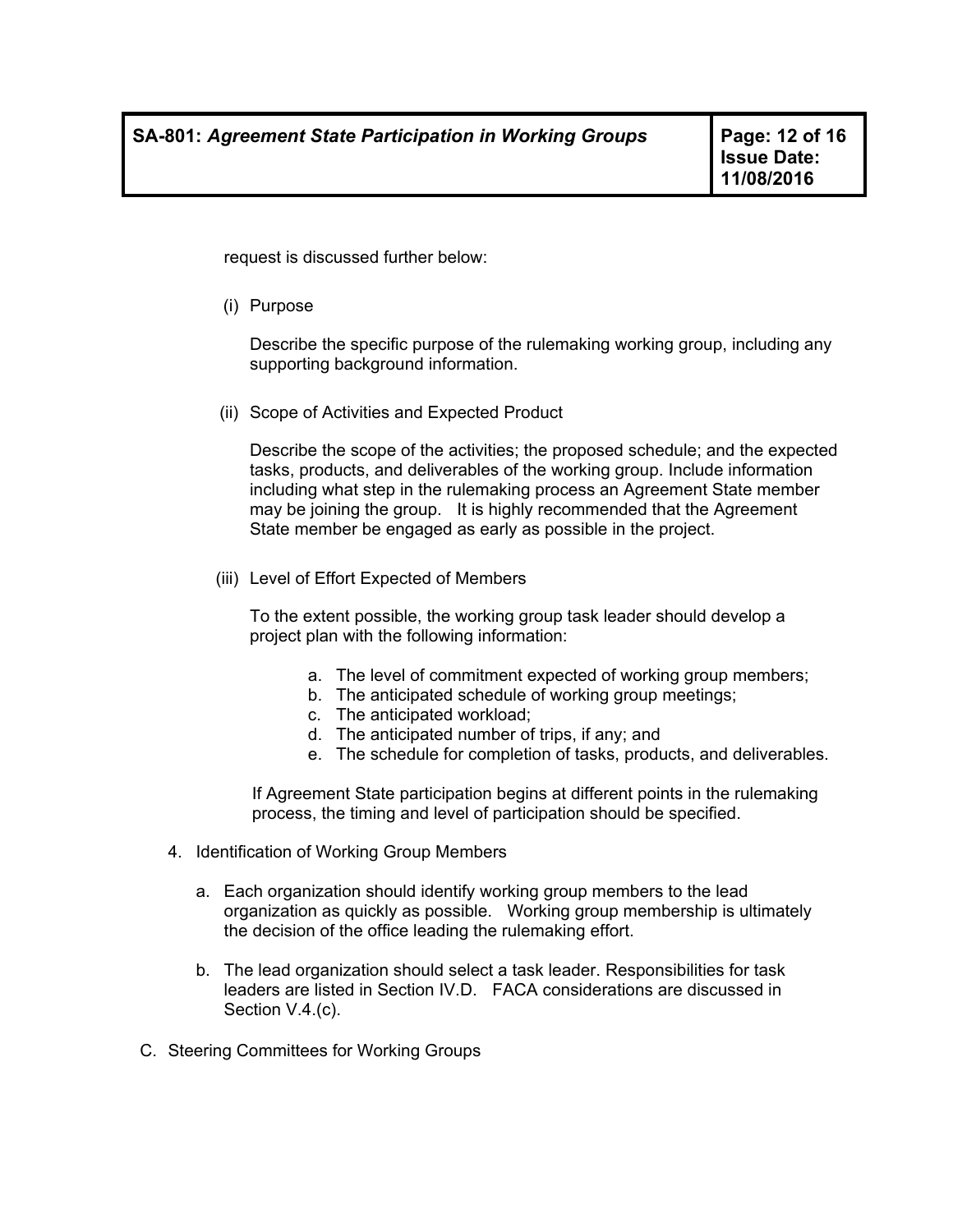request is discussed further below:

(i) Purpose

Describe the specific purpose of the rulemaking working group, including any supporting background information.

(ii) Scope of Activities and Expected Product

Describe the scope of the activities; the proposed schedule; and the expected tasks, products, and deliverables of the working group. Include information including what step in the rulemaking process an Agreement State member may be joining the group. It is highly recommended that the Agreement State member be engaged as early as possible in the project.

(iii) Level of Effort Expected of Members

To the extent possible, the working group task leader should develop a project plan with the following information:

- a. The level of commitment expected of working group members;
- b. The anticipated schedule of working group meetings;
- c. The anticipated workload;
- d. The anticipated number of trips, if any; and
- e. The schedule for completion of tasks, products, and deliverables.

If Agreement State participation begins at different points in the rulemaking process, the timing and level of participation should be specified.

- 4. Identification of Working Group Members
	- a. Each organization should identify working group members to the lead organization as quickly as possible. Working group membership is ultimately the decision of the office leading the rulemaking effort.
	- b. The lead organization should select a task leader. Responsibilities for task leaders are listed in Section IV.D. FACA considerations are discussed in Section V.4.(c).
- C. Steering Committees for Working Groups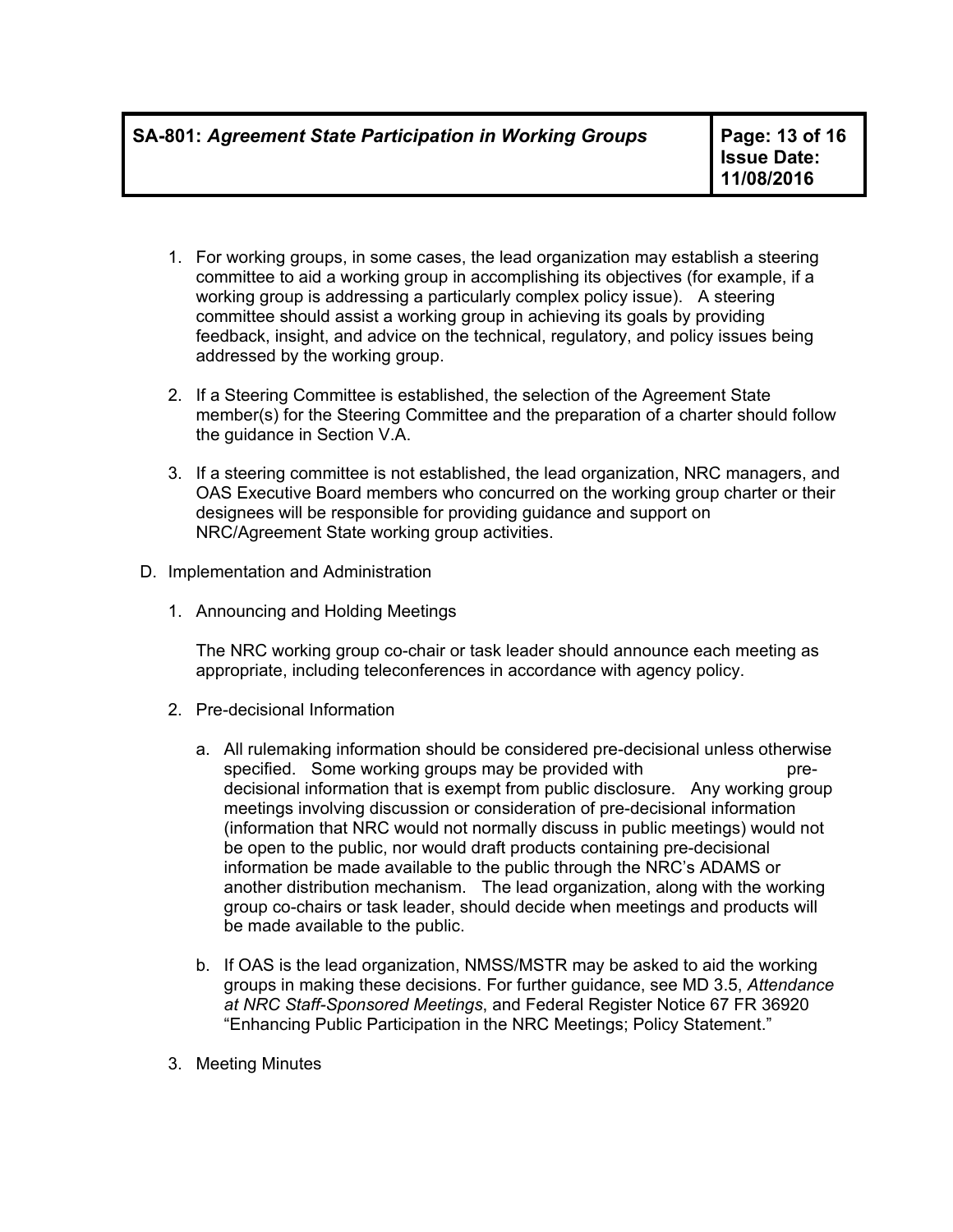- 1. For working groups, in some cases, the lead organization may establish a steering committee to aid a working group in accomplishing its objectives (for example, if a working group is addressing a particularly complex policy issue). A steering committee should assist a working group in achieving its goals by providing feedback, insight, and advice on the technical, regulatory, and policy issues being addressed by the working group.
- 2. If a Steering Committee is established, the selection of the Agreement State member(s) for the Steering Committee and the preparation of a charter should follow the guidance in Section V.A.
- 3. If a steering committee is not established, the lead organization, NRC managers, and OAS Executive Board members who concurred on the working group charter or their designees will be responsible for providing guidance and support on NRC/Agreement State working group activities.
- D. Implementation and Administration
	- 1. Announcing and Holding Meetings

The NRC working group co-chair or task leader should announce each meeting as appropriate, including teleconferences in accordance with agency policy.

- 2. Pre-decisional Information
	- a. All rulemaking information should be considered pre-decisional unless otherwise specified. Some working groups may be provided with predecisional information that is exempt from public disclosure. Any working group meetings involving discussion or consideration of pre-decisional information (information that NRC would not normally discuss in public meetings) would not be open to the public, nor would draft products containing pre-decisional information be made available to the public through the NRC's ADAMS or another distribution mechanism. The lead organization, along with the working group co-chairs or task leader, should decide when meetings and products will be made available to the public.
	- b. If OAS is the lead organization, NMSS/MSTR may be asked to aid the working groups in making these decisions. For further guidance, see MD 3.5, *Attendance at NRC Staff-Sponsored Meetings*, and Federal Register Notice 67 FR 36920 "Enhancing Public Participation in the NRC Meetings; Policy Statement."
- 3. Meeting Minutes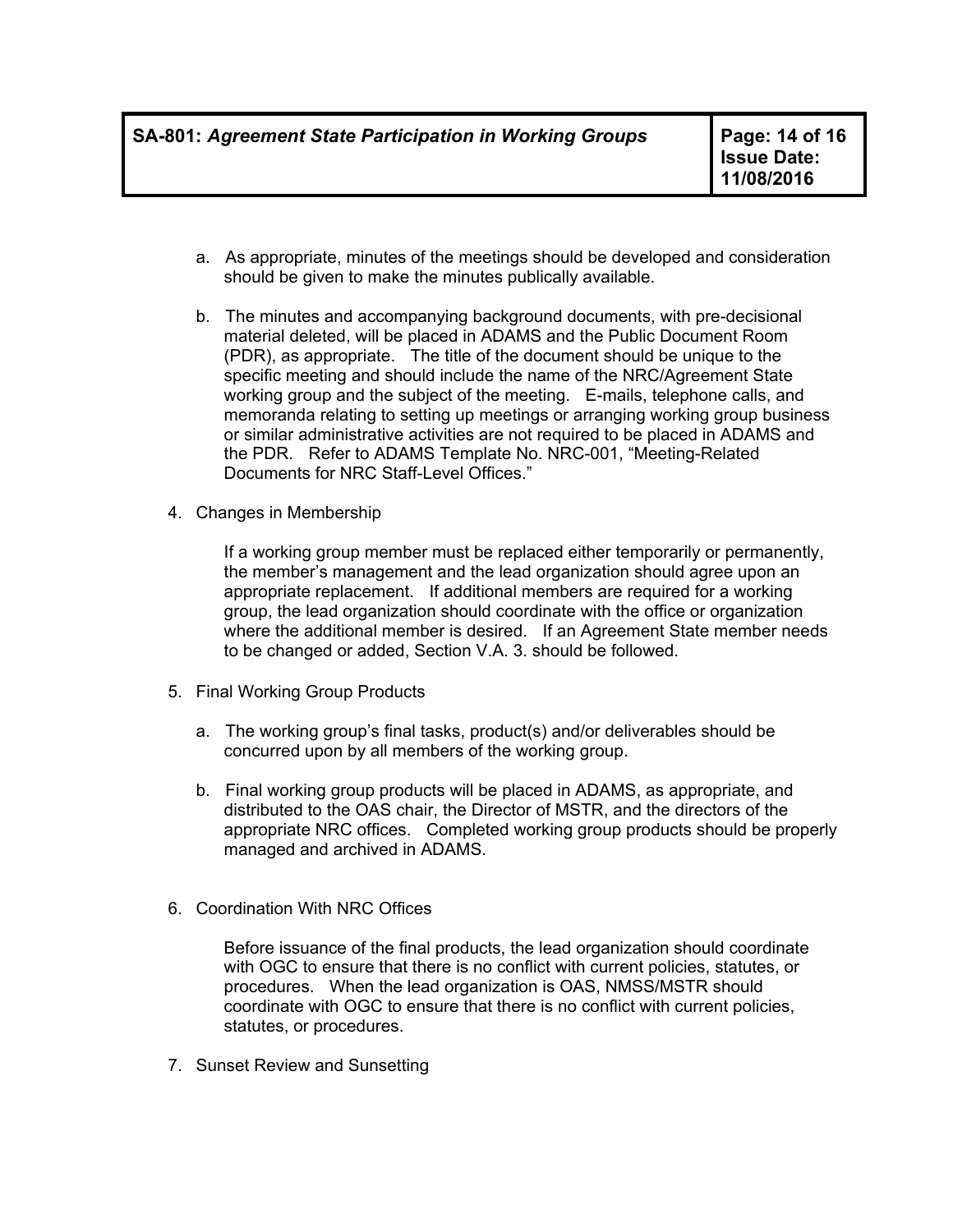- a. As appropriate, minutes of the meetings should be developed and consideration should be given to make the minutes publically available.
- b. The minutes and accompanying background documents, with pre-decisional material deleted, will be placed in ADAMS and the Public Document Room (PDR), as appropriate. The title of the document should be unique to the specific meeting and should include the name of the NRC/Agreement State working group and the subject of the meeting. E-mails, telephone calls, and memoranda relating to setting up meetings or arranging working group business or similar administrative activities are not required to be placed in ADAMS and the PDR. Refer to ADAMS Template No. NRC-001, "Meeting-Related Documents for NRC Staff-Level Offices."
- 4. Changes in Membership

If a working group member must be replaced either temporarily or permanently, the member's management and the lead organization should agree upon an appropriate replacement. If additional members are required for a working group, the lead organization should coordinate with the office or organization where the additional member is desired. If an Agreement State member needs to be changed or added, Section V.A. 3. should be followed.

- 5. Final Working Group Products
	- a. The working group's final tasks, product(s) and/or deliverables should be concurred upon by all members of the working group.
	- b. Final working group products will be placed in ADAMS, as appropriate, and distributed to the OAS chair, the Director of MSTR, and the directors of the appropriate NRC offices. Completed working group products should be properly managed and archived in ADAMS.
- 6. Coordination With NRC Offices

Before issuance of the final products, the lead organization should coordinate with OGC to ensure that there is no conflict with current policies, statutes, or procedures. When the lead organization is OAS, NMSS/MSTR should coordinate with OGC to ensure that there is no conflict with current policies, statutes, or procedures.

7. Sunset Review and Sunsetting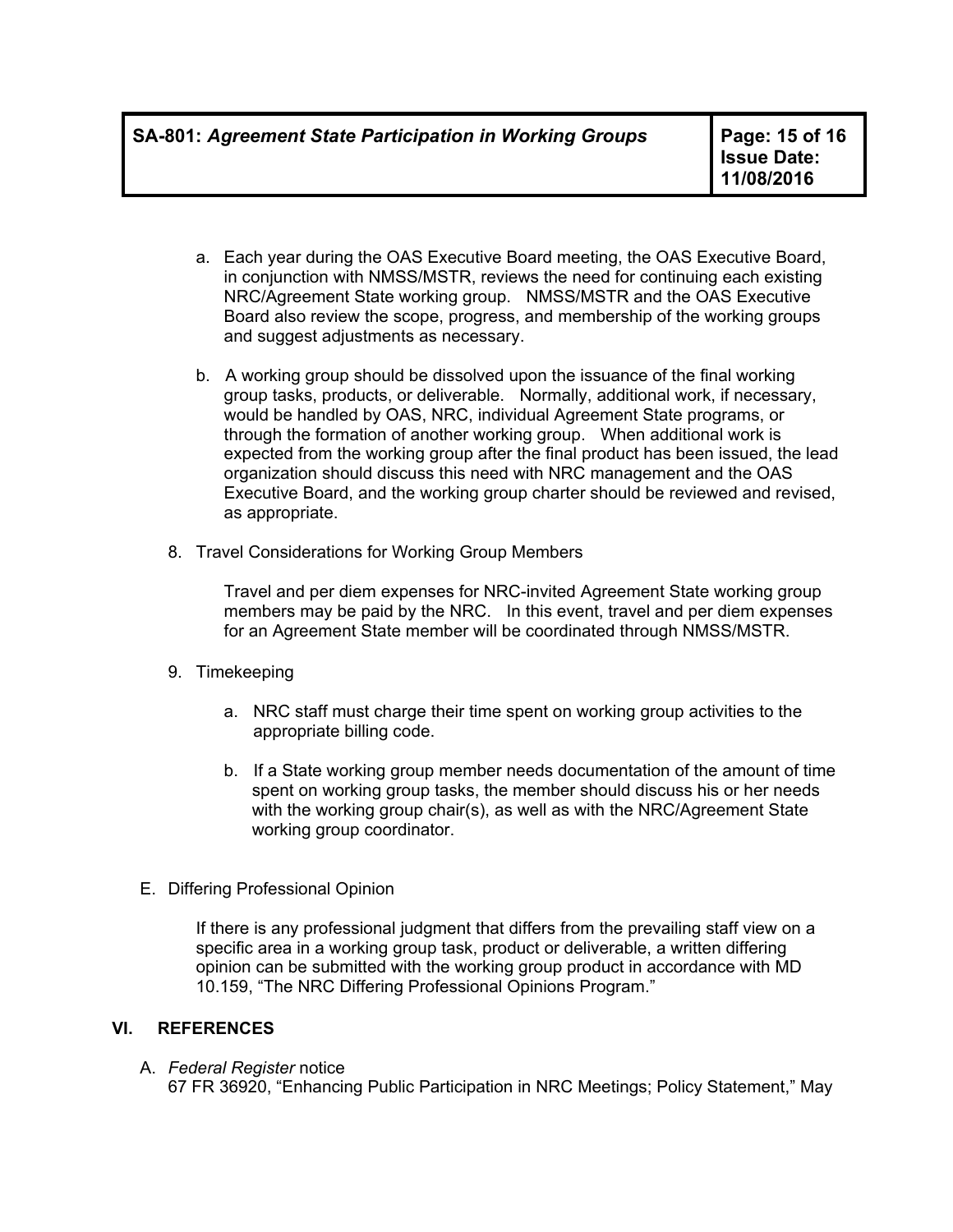- a. Each year during the OAS Executive Board meeting, the OAS Executive Board, in conjunction with NMSS/MSTR, reviews the need for continuing each existing NRC/Agreement State working group. NMSS/MSTR and the OAS Executive Board also review the scope, progress, and membership of the working groups and suggest adjustments as necessary.
- b. A working group should be dissolved upon the issuance of the final working group tasks, products, or deliverable. Normally, additional work, if necessary, would be handled by OAS, NRC, individual Agreement State programs, or through the formation of another working group. When additional work is expected from the working group after the final product has been issued, the lead organization should discuss this need with NRC management and the OAS Executive Board, and the working group charter should be reviewed and revised, as appropriate.
- 8. Travel Considerations for Working Group Members

Travel and per diem expenses for NRC-invited Agreement State working group members may be paid by the NRC. In this event, travel and per diem expenses for an Agreement State member will be coordinated through NMSS/MSTR.

- 9. Timekeeping
	- a. NRC staff must charge their time spent on working group activities to the appropriate billing code.
	- b. If a State working group member needs documentation of the amount of time spent on working group tasks, the member should discuss his or her needs with the working group chair(s), as well as with the NRC/Agreement State working group coordinator.
- E. Differing Professional Opinion

If there is any professional judgment that differs from the prevailing staff view on a specific area in a working group task, product or deliverable, a written differing opinion can be submitted with the working group product in accordance with MD 10.159, "The NRC Differing Professional Opinions Program."

# **VI. REFERENCES**

#### A. *Federal Register* notice

67 FR 36920, "Enhancing Public Participation in NRC Meetings; Policy Statement," May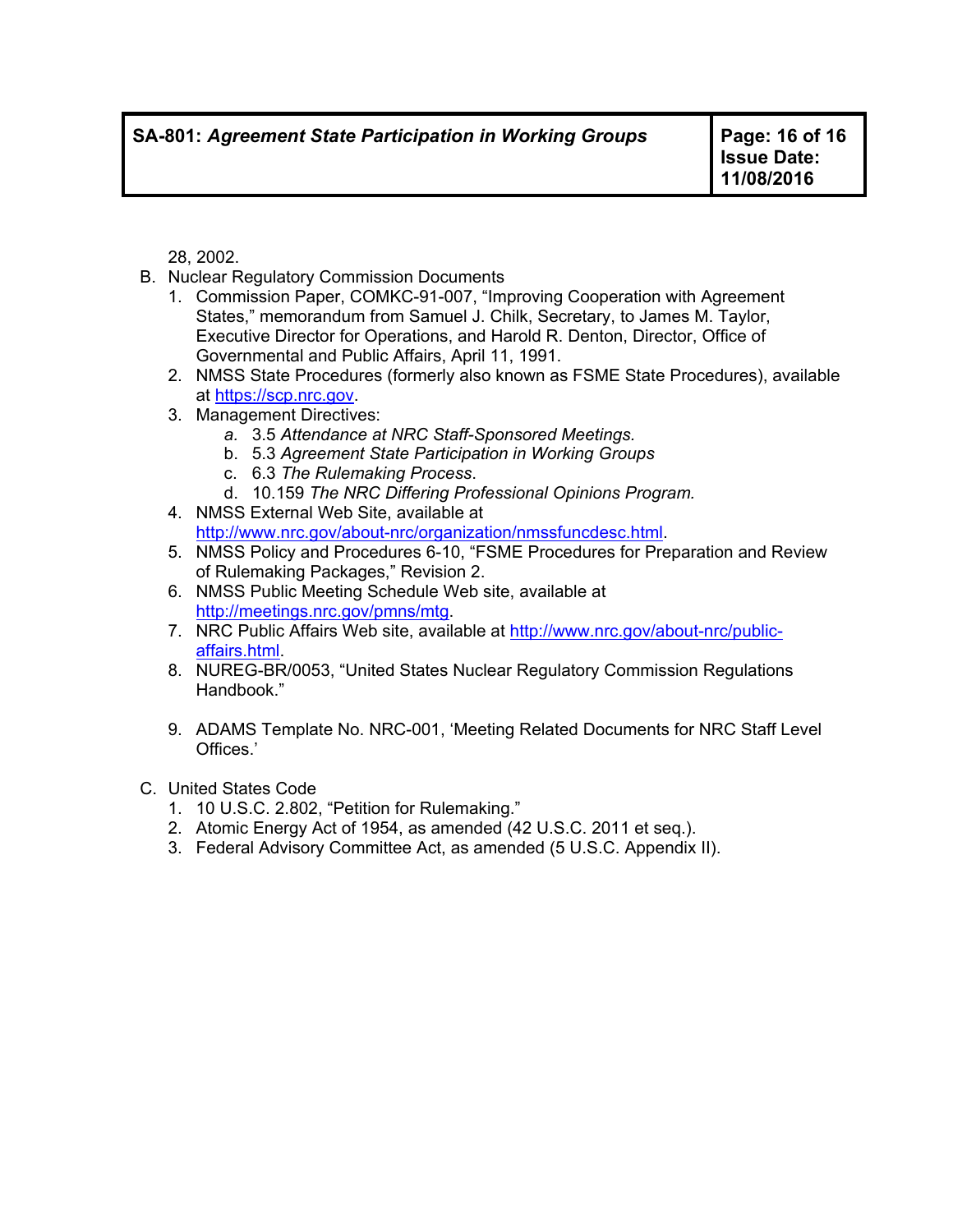28, 2002.

- B. Nuclear Regulatory Commission Documents
	- 1. Commission Paper, COMKC-91-007, "Improving Cooperation with Agreement States," memorandum from Samuel J. Chilk, Secretary, to James M. Taylor, Executive Director for Operations, and Harold R. Denton, Director, Office of Governmental and Public Affairs, April 11, 1991.
	- 2. NMSS State Procedures (formerly also known as FSME State Procedures), available at https://scp.nrc.gov.
	- 3. Management Directives:
		- *a.* 3.5 *Attendance at NRC Staff-Sponsored Meetings.*
		- b. 5.3 *Agreement State Participation in Working Groups*
		- c. 6.3 *The Rulemaking Process*.
		- d. 10.159 *The NRC Differing Professional Opinions Program.*
	- 4. NMSS External Web Site, available at http://www.nrc.gov/about-nrc/organization/nmssfuncdesc.html.
	- 5. NMSS Policy and Procedures 6-10, "FSME Procedures for Preparation and Review of Rulemaking Packages," Revision 2.
	- 6. NMSS Public Meeting Schedule Web site, available at http://meetings.nrc.gov/pmns/mtg.
	- 7. NRC Public Affairs Web site, available at http://www.nrc.gov/about-nrc/publicaffairs.html.
	- 8. NUREG-BR/0053, "United States Nuclear Regulatory Commission Regulations Handbook."
	- 9. ADAMS Template No. NRC-001, 'Meeting Related Documents for NRC Staff Level Offices.'
- C. United States Code
	- 1. 10 U.S.C. 2.802, "Petition for Rulemaking."
	- 2. Atomic Energy Act of 1954, as amended (42 U.S.C. 2011 et seq.).
	- 3. Federal Advisory Committee Act, as amended (5 U.S.C. Appendix II).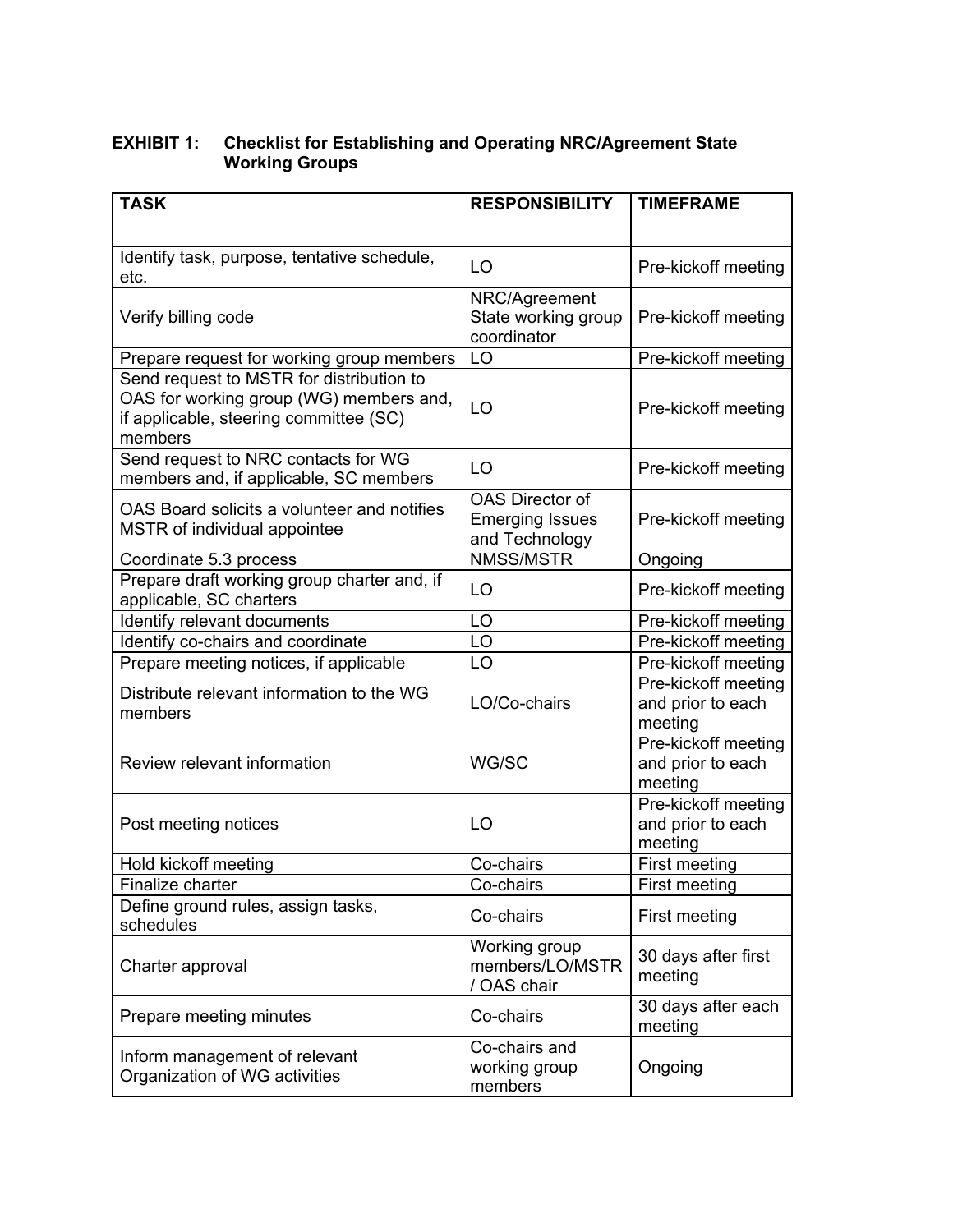#### **EXHIBIT 1: Checklist for Establishing and Operating NRC/Agreement State Working Groups**

| <b>TASK</b>                                                                                                                              | <b>RESPONSIBILITY</b>                                              | <b>TIMEFRAME</b>                                    |
|------------------------------------------------------------------------------------------------------------------------------------------|--------------------------------------------------------------------|-----------------------------------------------------|
|                                                                                                                                          |                                                                    |                                                     |
| Identify task, purpose, tentative schedule,<br>etc.                                                                                      | LO                                                                 | Pre-kickoff meeting                                 |
| Verify billing code                                                                                                                      | NRC/Agreement<br>State working group<br>coordinator                | Pre-kickoff meeting                                 |
| Prepare request for working group members                                                                                                | LO                                                                 | Pre-kickoff meeting                                 |
| Send request to MSTR for distribution to<br>OAS for working group (WG) members and,<br>if applicable, steering committee (SC)<br>members | LO                                                                 | Pre-kickoff meeting                                 |
| Send request to NRC contacts for WG<br>members and, if applicable, SC members                                                            | LO                                                                 | Pre-kickoff meeting                                 |
| OAS Board solicits a volunteer and notifies<br>MSTR of individual appointee                                                              | <b>OAS Director of</b><br><b>Emerging Issues</b><br>and Technology | Pre-kickoff meeting                                 |
| Coordinate 5.3 process                                                                                                                   | <b>NMSS/MSTR</b>                                                   | Ongoing                                             |
| Prepare draft working group charter and, if<br>applicable, SC charters                                                                   | LO                                                                 | Pre-kickoff meeting                                 |
| Identify relevant documents                                                                                                              | LO                                                                 | Pre-kickoff meeting                                 |
| Identify co-chairs and coordinate                                                                                                        | LO                                                                 | Pre-kickoff meeting                                 |
| Prepare meeting notices, if applicable                                                                                                   | LO                                                                 | Pre-kickoff meeting                                 |
| Distribute relevant information to the WG<br>members                                                                                     | LO/Co-chairs                                                       | Pre-kickoff meeting<br>and prior to each<br>meeting |
| Review relevant information                                                                                                              | WG/SC                                                              | Pre-kickoff meeting<br>and prior to each<br>meeting |
| Post meeting notices                                                                                                                     | LO                                                                 | Pre-kickoff meeting<br>and prior to each<br>meeting |
| Hold kickoff meeting                                                                                                                     | Co-chairs                                                          | First meeting                                       |
| Finalize charter                                                                                                                         | Co-chairs                                                          | First meeting                                       |
| Define ground rules, assign tasks,<br>schedules                                                                                          | Co-chairs                                                          | First meeting                                       |
| Charter approval                                                                                                                         | Working group<br>members/LO/MSTR<br>/ OAS chair                    | 30 days after first<br>meeting                      |
| Prepare meeting minutes                                                                                                                  | Co-chairs                                                          | 30 days after each<br>meeting                       |
| Inform management of relevant<br>Organization of WG activities                                                                           | Co-chairs and<br>working group<br>members                          | Ongoing                                             |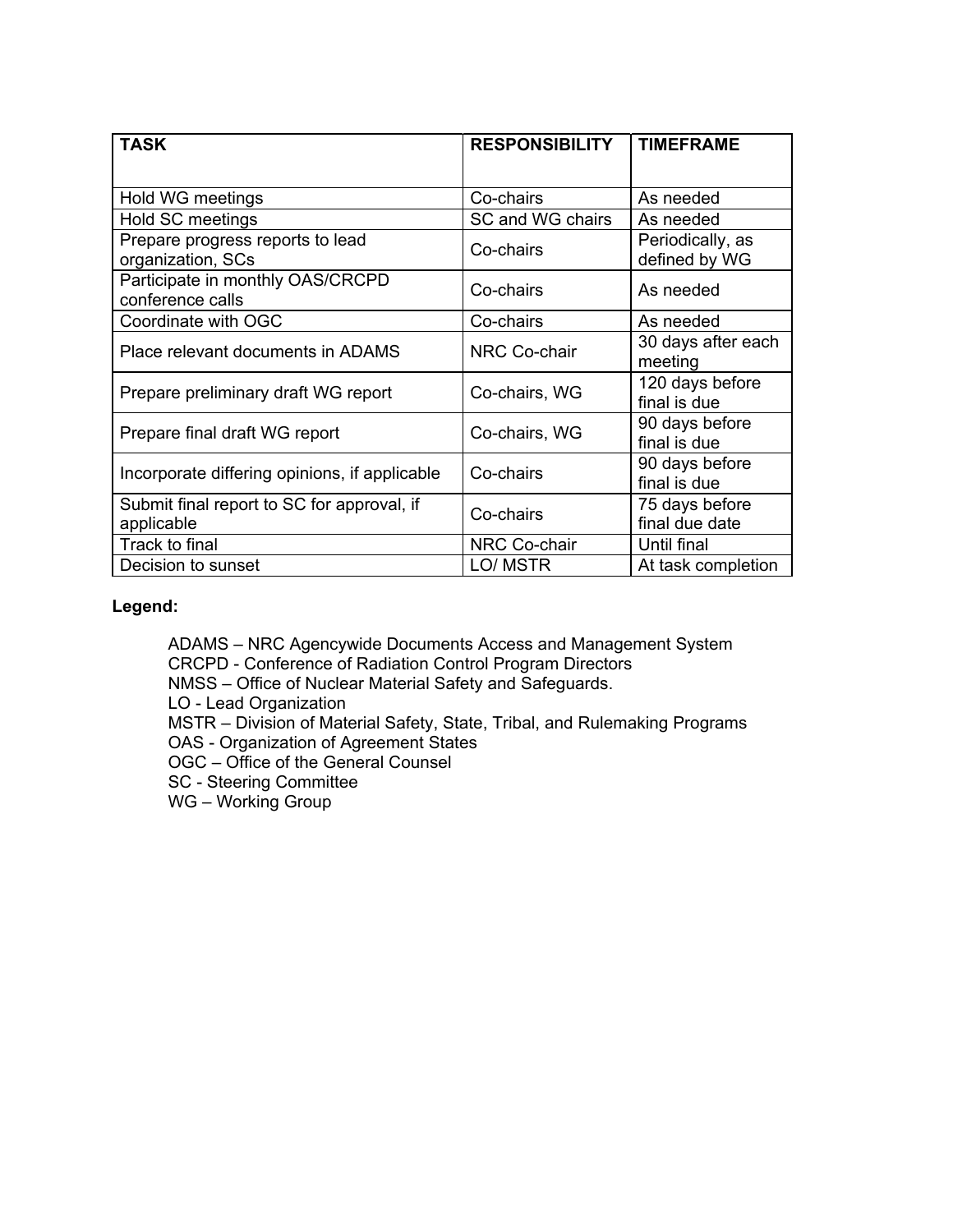| <b>TASK</b>                                              | <b>RESPONSIBILITY</b> | <b>TIMEFRAME</b>                  |
|----------------------------------------------------------|-----------------------|-----------------------------------|
|                                                          |                       |                                   |
| Hold WG meetings                                         | Co-chairs             | As needed                         |
| Hold SC meetings                                         | SC and WG chairs      | As needed                         |
| Prepare progress reports to lead<br>organization, SCs    | Co-chairs             | Periodically, as<br>defined by WG |
| Participate in monthly OAS/CRCPD<br>conference calls     | Co-chairs             | As needed                         |
| Coordinate with OGC                                      | Co-chairs             | As needed                         |
| Place relevant documents in ADAMS                        | <b>NRC Co-chair</b>   | 30 days after each<br>meeting     |
| Prepare preliminary draft WG report                      | Co-chairs, WG         | 120 days before<br>final is due   |
| Prepare final draft WG report                            | Co-chairs, WG         | 90 days before<br>final is due    |
| Incorporate differing opinions, if applicable            | Co-chairs             | 90 days before<br>final is due    |
| Submit final report to SC for approval, if<br>applicable | Co-chairs             | 75 days before<br>final due date  |
| Track to final                                           | NRC Co-chair          | Until final                       |
| Decision to sunset                                       | LO/ MSTR              | At task completion                |

### **Legend:**

ADAMS – NRC Agencywide Documents Access and Management System CRCPD - Conference of Radiation Control Program Directors NMSS – Office of Nuclear Material Safety and Safeguards. LO - Lead Organization MSTR – Division of Material Safety, State, Tribal, and Rulemaking Programs OAS - Organization of Agreement States OGC – Office of the General Counsel SC - Steering Committee WG – Working Group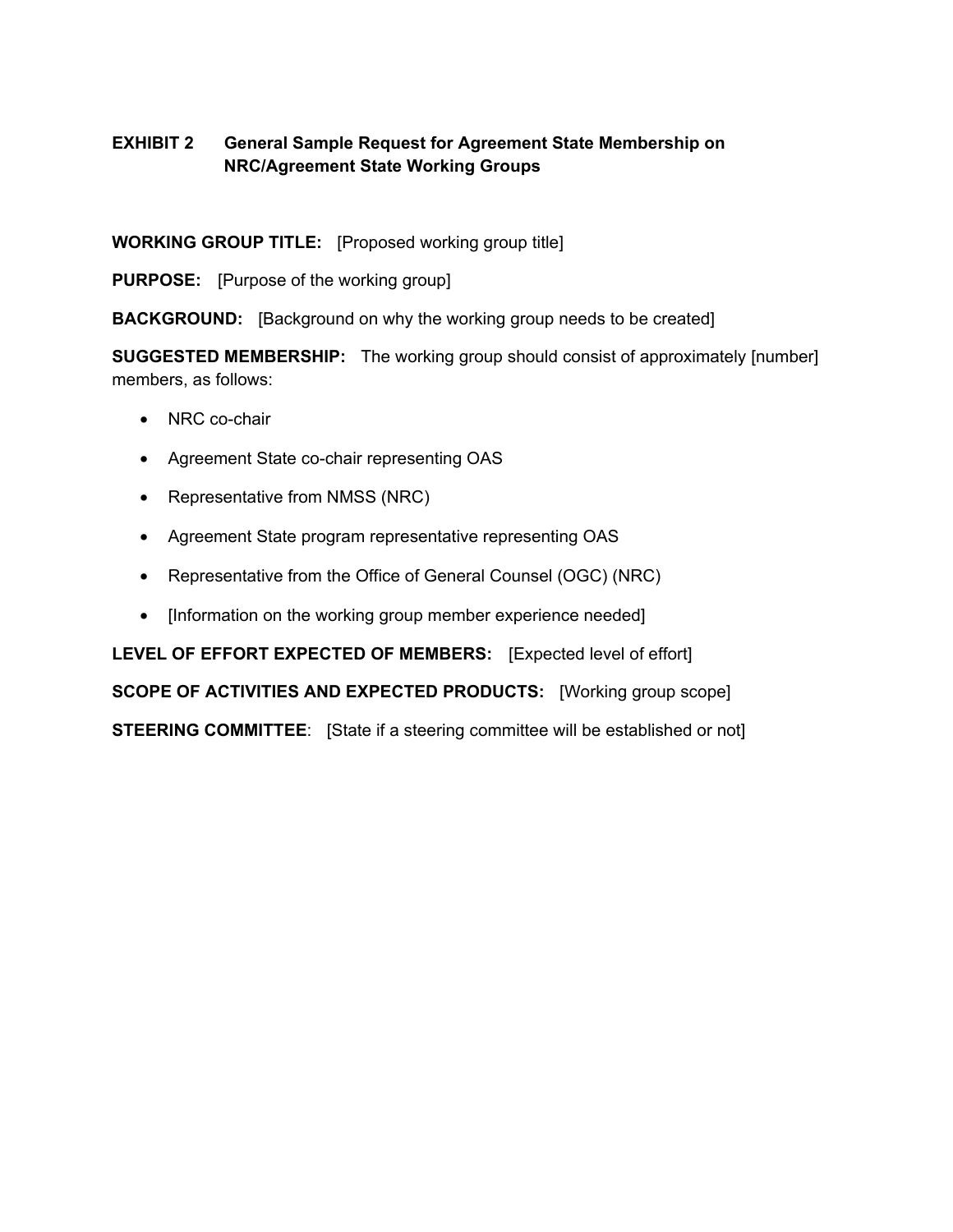# **EXHIBIT 2 General Sample Request for Agreement State Membership on NRC/Agreement State Working Groups**

**WORKING GROUP TITLE:** [Proposed working group title]

**PURPOSE:** [Purpose of the working group]

**BACKGROUND:** [Background on why the working group needs to be created]

**SUGGESTED MEMBERSHIP:** The working group should consist of approximately [number] members, as follows:

- NRC co-chair
- Agreement State co-chair representing OAS
- Representative from NMSS (NRC)
- Agreement State program representative representing OAS
- Representative from the Office of General Counsel (OGC) (NRC)
- [Information on the working group member experience needed]

**LEVEL OF EFFORT EXPECTED OF MEMBERS:** [Expected level of effort] **SCOPE OF ACTIVITIES AND EXPECTED PRODUCTS:** [Working group scope] **STEERING COMMITTEE**: [State if a steering committee will be established or not]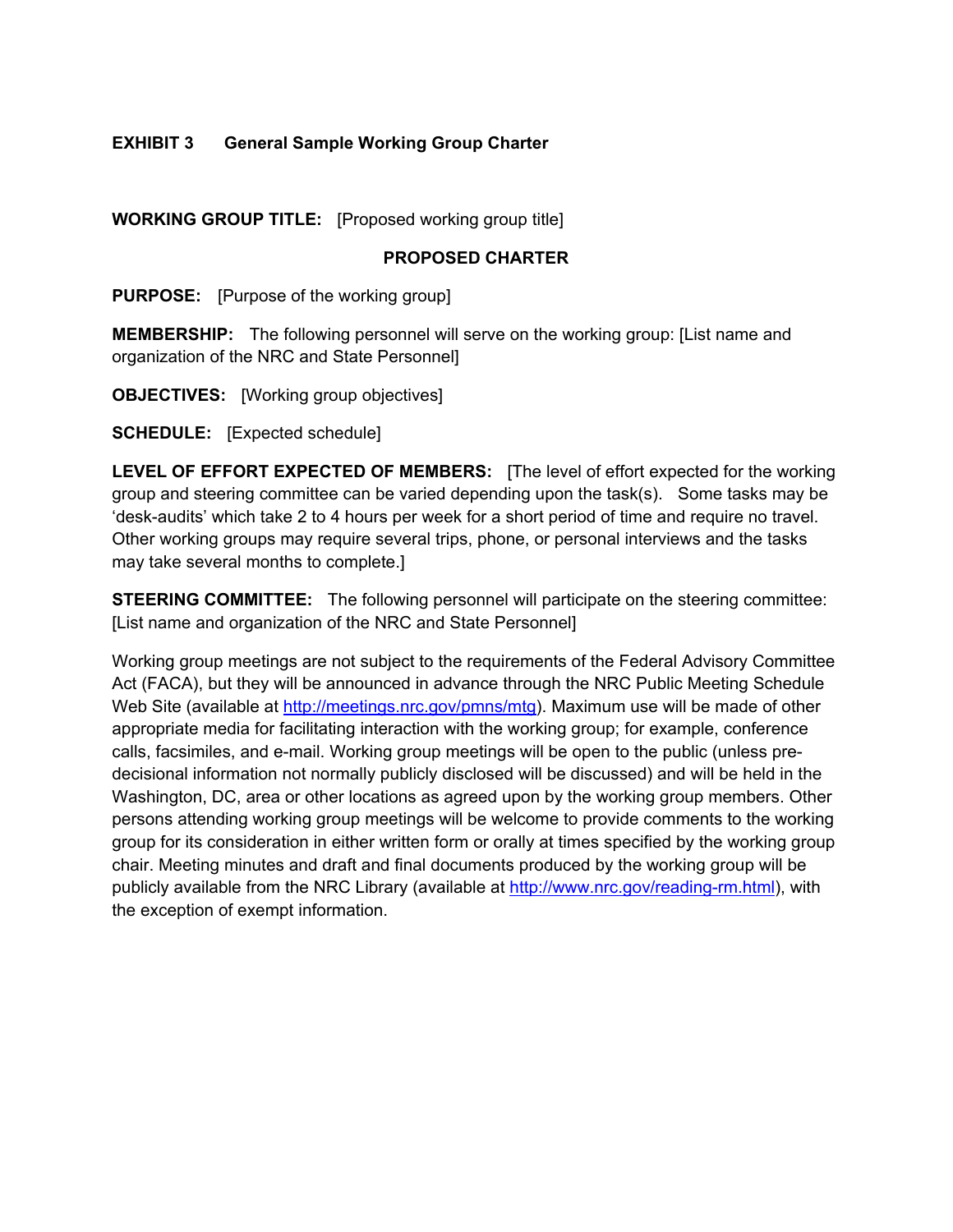# **EXHIBIT 3 General Sample Working Group Charter**

**WORKING GROUP TITLE:** [Proposed working group title]

#### **PROPOSED CHARTER**

**PURPOSE:** [Purpose of the working group]

**MEMBERSHIP:** The following personnel will serve on the working group: [List name and organization of the NRC and State Personnel]

**OBJECTIVES:** [Working group objectives]

**SCHEDULE:** [Expected schedule]

**LEVEL OF EFFORT EXPECTED OF MEMBERS:** [The level of effort expected for the working group and steering committee can be varied depending upon the task(s). Some tasks may be 'desk-audits' which take 2 to 4 hours per week for a short period of time and require no travel. Other working groups may require several trips, phone, or personal interviews and the tasks may take several months to complete.]

**STEERING COMMITTEE:** The following personnel will participate on the steering committee: [List name and organization of the NRC and State Personnel]

Working group meetings are not subject to the requirements of the Federal Advisory Committee Act (FACA), but they will be announced in advance through the NRC Public Meeting Schedule Web Site (available at http://meetings.nrc.gov/pmns/mtg). Maximum use will be made of other appropriate media for facilitating interaction with the working group; for example, conference calls, facsimiles, and e-mail. Working group meetings will be open to the public (unless predecisional information not normally publicly disclosed will be discussed) and will be held in the Washington, DC, area or other locations as agreed upon by the working group members. Other persons attending working group meetings will be welcome to provide comments to the working group for its consideration in either written form or orally at times specified by the working group chair. Meeting minutes and draft and final documents produced by the working group will be publicly available from the NRC Library (available at http://www.nrc.gov/reading-rm.html), with the exception of exempt information.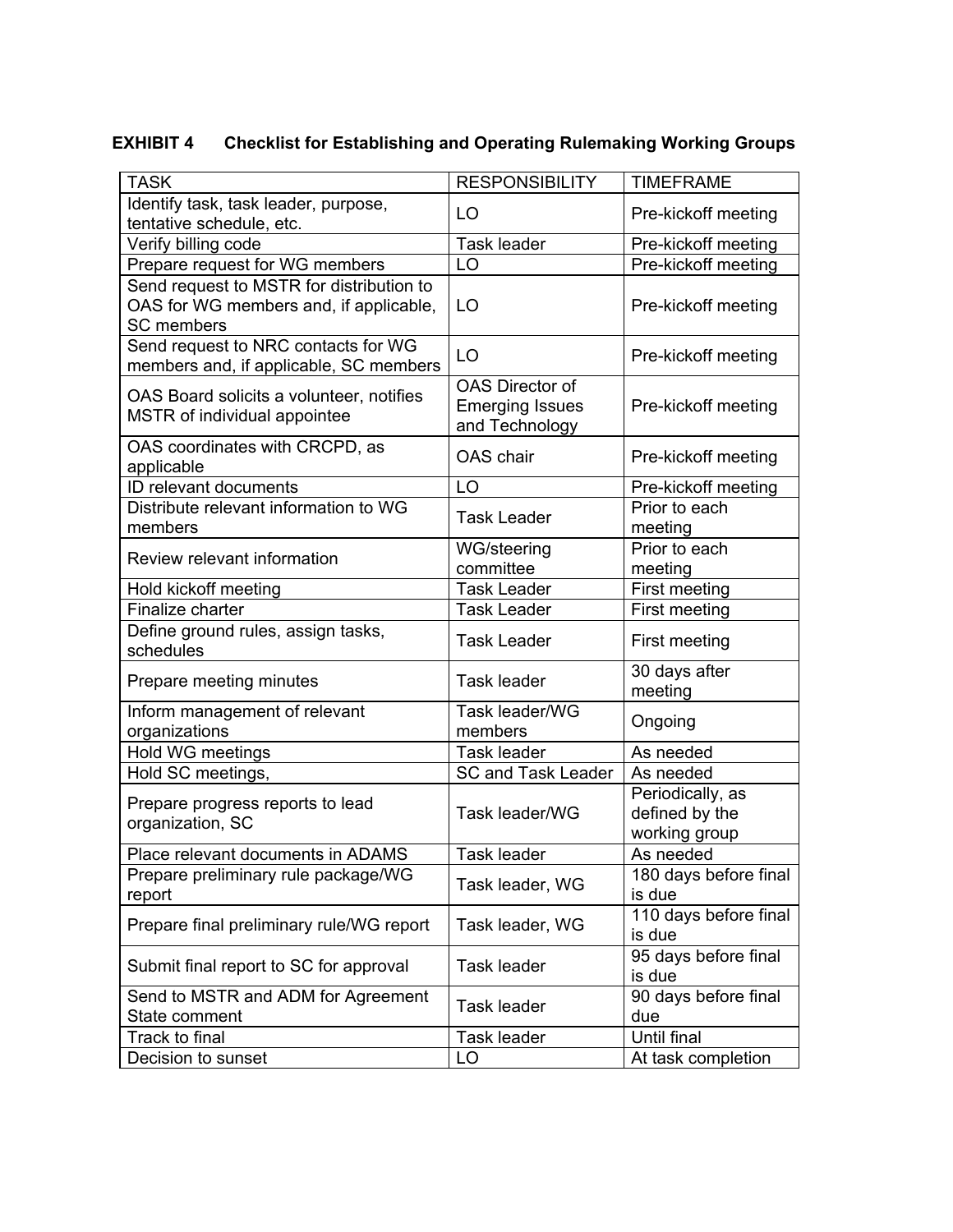# **EXHIBIT 4 Checklist for Establishing and Operating Rulemaking Working Groups**

| <b>TASK</b>                                                                                             | <b>RESPONSIBILITY</b>                                              | <b>TIMEFRAME</b>                                    |
|---------------------------------------------------------------------------------------------------------|--------------------------------------------------------------------|-----------------------------------------------------|
| Identify task, task leader, purpose,                                                                    | LO                                                                 | Pre-kickoff meeting                                 |
| tentative schedule, etc.                                                                                |                                                                    |                                                     |
| Verify billing code                                                                                     | <b>Task leader</b>                                                 | Pre-kickoff meeting                                 |
| Prepare request for WG members                                                                          | LO                                                                 | Pre-kickoff meeting                                 |
| Send request to MSTR for distribution to<br>OAS for WG members and, if applicable,<br><b>SC</b> members | LO                                                                 | Pre-kickoff meeting                                 |
| Send request to NRC contacts for WG<br>members and, if applicable, SC members                           | LO                                                                 | Pre-kickoff meeting                                 |
| OAS Board solicits a volunteer, notifies<br>MSTR of individual appointee                                | <b>OAS Director of</b><br><b>Emerging Issues</b><br>and Technology | Pre-kickoff meeting                                 |
| OAS coordinates with CRCPD, as<br>applicable                                                            | OAS chair                                                          | Pre-kickoff meeting                                 |
| ID relevant documents                                                                                   | LO                                                                 | Pre-kickoff meeting                                 |
| Distribute relevant information to WG<br>members                                                        | <b>Task Leader</b>                                                 | Prior to each<br>meeting                            |
| Review relevant information                                                                             | WG/steering<br>committee                                           | Prior to each<br>meeting                            |
| Hold kickoff meeting                                                                                    | <b>Task Leader</b>                                                 | First meeting                                       |
| Finalize charter                                                                                        | <b>Task Leader</b>                                                 | First meeting                                       |
| Define ground rules, assign tasks,<br>schedules                                                         | <b>Task Leader</b>                                                 | First meeting                                       |
| Prepare meeting minutes                                                                                 | Task leader                                                        | 30 days after<br>meeting                            |
| Inform management of relevant<br>organizations                                                          | Task leader/WG<br>members                                          | Ongoing                                             |
| Hold WG meetings                                                                                        | <b>Task leader</b>                                                 | As needed                                           |
| Hold SC meetings,                                                                                       | <b>SC and Task Leader</b>                                          | As needed                                           |
| Prepare progress reports to lead<br>organization, SC                                                    | Task leader/WG                                                     | Periodically, as<br>defined by the<br>working group |
| Place relevant documents in ADAMS                                                                       | Task leader                                                        | As needed                                           |
| Prepare preliminary rule package/WG<br>report                                                           | Task leader, WG                                                    | 180 days before final<br>is due                     |
| Prepare final preliminary rule/WG report                                                                | Task leader, WG                                                    | 110 days before final<br>is due                     |
| Submit final report to SC for approval                                                                  | Task leader                                                        | 95 days before final<br>is due                      |
| Send to MSTR and ADM for Agreement<br>State comment                                                     | Task leader                                                        | 90 days before final<br>due                         |
| Track to final                                                                                          | Task leader                                                        | Until final                                         |
| Decision to sunset                                                                                      | LO                                                                 | At task completion                                  |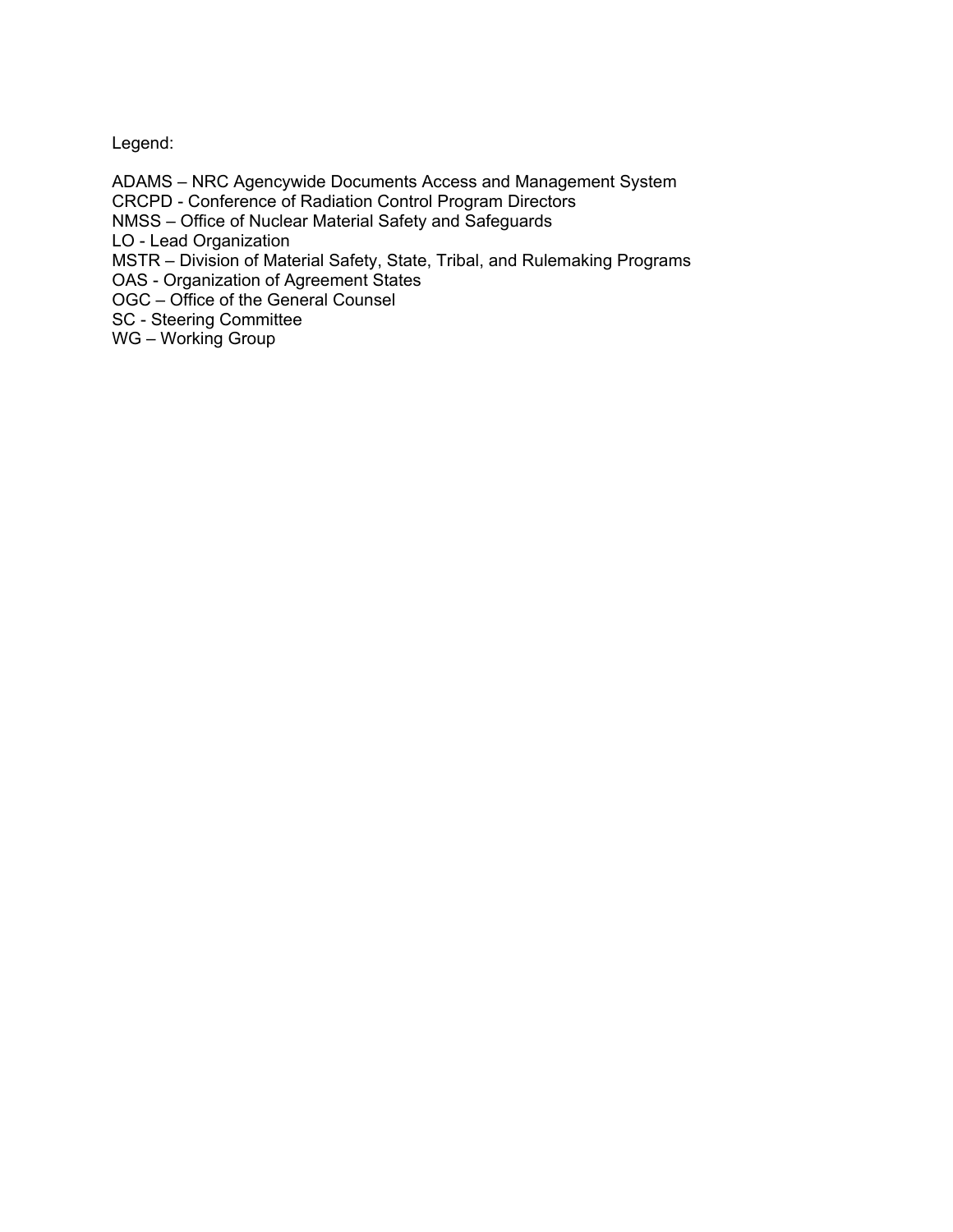# Legend:

ADAMS – NRC Agencywide Documents Access and Management System CRCPD - Conference of Radiation Control Program Directors NMSS – Office of Nuclear Material Safety and Safeguards LO - Lead Organization MSTR – Division of Material Safety, State, Tribal, and Rulemaking Programs OAS - Organization of Agreement States OGC – Office of the General Counsel SC - Steering Committee

WG – Working Group